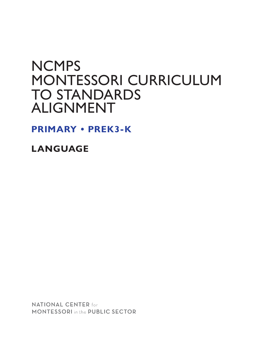# **NCMPS** MONTESSORI CURRICULUM TO STANDARDS ALIGNMENT

**PRIMARY • PREK3-K**

**LANGUAGE**

**NATIONAL CENTER for MONTESSORI** in the PUBLIC SECTOR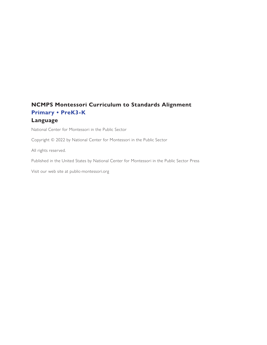# **NCMPS Montessori Curriculum to Standards Alignment Primary • PreK3-K Language**

National Center for Montessori in the Public Sector

Copyright © 2022 by National Center for Montessori in the Public Sector

All rights reserved.

Published in the United States by National Center for Montessori in the Public Sector Press

Visit our web site at public-montessori.org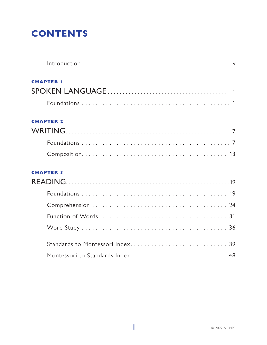# **CONTENTS**

| <b>CHAPTER 1</b> |
|------------------|
|                  |
|                  |
| <b>CHAPTER 2</b> |
|                  |
|                  |
|                  |
| <b>CHAPTER 3</b> |
|                  |
|                  |
|                  |
|                  |
|                  |
|                  |
|                  |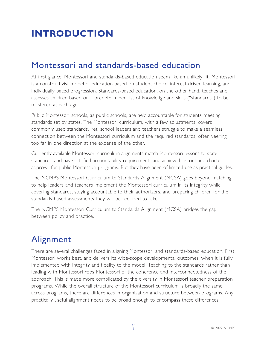# <span id="page-4-0"></span>**INTRODUCTION**

# Montessori and standards-based education

At first glance, Montessori and standards-based education seem like an unlikely fit. Montessori is a constructivist model of education based on student choice, interest-driven learning, and individually paced progression. Standards-based education, on the other hand, teaches and assesses children based on a predetermined list of knowledge and skills ("standards") to be mastered at each age.

Public Montessori schools, as public schools, are held accountable for students meeting standards set by states. The Montessori curriculum, with a few adjustments, covers commonly used standards. Yet, school leaders and teachers struggle to make a seamless connection between the Montessori curriculum and the required standards, often veering too far in one direction at the expense of the other.

Currently available Montessori curriculum alignments match Montessori lessons to state standards, and have satisfied accountability requirements and achieved district and charter approval for public Montessori programs. But they have been of limited use as practical guides.

The NCMPS Montessori Curriculum to Standards Alignment (MCSA) goes beyond matching to help leaders and teachers implement the Montessori curriculum in its integrity while covering standards, staying accountable to their authorizers, and preparing children for the standards-based assessments they will be required to take.

The NCMPS Montessori Curriculum to Standards Alignment (MCSA) bridges the gap between policy and practice.

# **Alignment**

There are several challenges faced in aligning Montessori and standards-based education. First, Montessori works best, and delivers its wide-scope developmental outcomes, when it is fully implemented with integrity and fidelity to the model. Teaching to the standards rather than leading with Montessori robs Montessori of the coherence and interconnectedness of the approach. This is made more complicated by the diversity in Montessori teacher preparation programs. While the overall structure of the Montessori curriculum is broadly the same across programs, there are differences in organization and structure between programs. Any practically useful alignment needs to be broad enough to encompass these differences.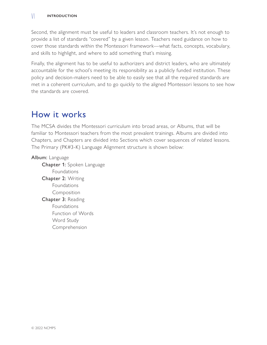#### vi **Introduction**

Second, the alignment must be useful to leaders and classroom teachers. It's not enough to provide a list of standards "covered" by a given lesson. Teachers need guidance on how to cover those standards within the Montessori framework—what facts, concepts, vocabulary, and skills to highlight, and where to add something that's missing.

Finally, the alignment has to be useful to authorizers and district leaders, who are ultimately accountable for the school's meeting its responsibility as a publicly funded institution. These policy and decision-makers need to be able to easily see that all the required standards are met in a coherent curriculum, and to go quickly to the aligned Montessori lessons to see how the standards are covered.

# How it works

The MCSA divides the Montessori curriculum into broad areas, or Albums, that will be familiar to Montessori teachers from the most prevalent trainings. Albums are divided into Chapters, and Chapters are divided into Sections which cover sequences of related lessons. The Primary (PK#3-K) Language Alignment structure is shown below:

### Album: Language

Chapter 1: Spoken Language Foundations Chapter 2: Writing Foundations Composition Chapter 3: Reading Foundations Function of Words Word Study Comprehension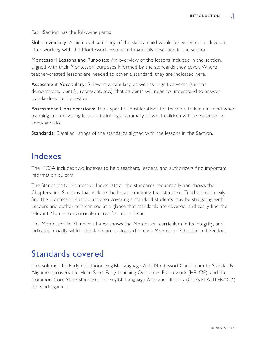Each Section has the following parts:

Skills Inventory: A high level summary of the skills a child would be expected to develop after working with the Montessori lessons and materials described in the section.

Montessori Lessons and Purposes: An overview of the lessons included in the section, aligned with their Montessori purposes informed by the standards they cover. Where teacher-created lessons are needed to cover a standard, they are indicated here.

Assessment Vocabulary: Relevant vocabulary, as well as cognitive verbs (such as demonstrate, identify, represent, etc.), that students will need to understand to answer standardized test questions..

Assessment Considerations: Topic-specific considerations for teachers to keep in mind when planning and delivering lessons, including a summary of what children will be expected to know and do.

Standards: Detailed listings of the standards aligned with the lessons in the Section.

# Indexes

The MCSA includes two Indexes to help teachers, leaders, and authorizers find important information quickly.

The Standards to Montessori Index lists all the standards sequentially and shows the Chapters and Sections that include the lessons meeting that standard. Teachers can easily find the Montessori curriculum area covering a standard students may be struggling with. Leaders and authorizers can see at a glance that standards are covered, and easily find the relevant Montessori curriculum area for more detail.

The Montessori to Standards Index shows the Montessori curriculum in its integrity, and indicates broadly which standards are addressed in each Montessori Chapter and Section.

# Standards covered

This volume, the Early Childhood English Language Arts Montessori Curriculum to Standards Alignment, covers the Head Start Early Learning Outcomes Framework (HELOF), and the Common Core State Standards for English Language Arts and Literacy (CCSS.ELALITERACY) for Kindergarten.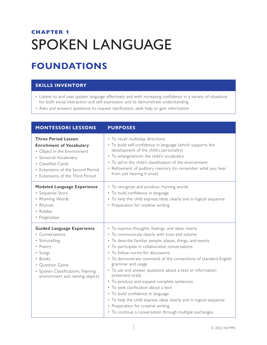# <span id="page-8-0"></span>**CHAPTER 1** SPOKEN LANGUAGE

# **FOUNDATIONS**

# **SKILLS INVENTORY**

- Listens to and uses spoken language effectively and with increasing confidence in a variety of situations for both social interaction and self-expression and to demonstrate understanding
- Asks and answers questions to request clarification, seek help or gain information

| <b>MONTESSORI LESSONS</b>                                                                                                                                                                                             | <b>PURPOSES</b>                                                                                                                                                                                                                                                                                                                                                                                                                                                                                                                                                                                                                                                                                                                     |
|-----------------------------------------------------------------------------------------------------------------------------------------------------------------------------------------------------------------------|-------------------------------------------------------------------------------------------------------------------------------------------------------------------------------------------------------------------------------------------------------------------------------------------------------------------------------------------------------------------------------------------------------------------------------------------------------------------------------------------------------------------------------------------------------------------------------------------------------------------------------------------------------------------------------------------------------------------------------------|
| <b>Three Period Lesson</b><br><b>Enrichment of Vocabulary</b><br>• Object in the Environment<br>• Sensorial Vocabulary<br>• Classified Cards<br>• Extensions of the Second Period<br>• Extensions of the Third Period | • To recall multistep directions<br>• To build self-confidence in language (which supports the<br>development of the child's personality)<br>• To enlarge/enrich the child's vocabulary<br>• To aid in the child's classification of the environment<br>• Refinement of auditory memory (to remember what you hear<br>from just hearing it once)                                                                                                                                                                                                                                                                                                                                                                                    |
| Modeled Language Experience<br>• Sequence Story<br>• Rhyming Words<br>• Rhymes<br>• Riddles<br>• Fingerplays                                                                                                          | • To recognize and produce rhyming words<br>• To build confidence in language<br>• To help the child express ideas clearly and in logical sequence<br>• Preparation for creative writing                                                                                                                                                                                                                                                                                                                                                                                                                                                                                                                                            |
| <b>Guided Language Experience</b><br>• Conversations<br>• Storytelling<br>• Poetry<br>· Songs<br>• Books<br>• Question Game<br>• Spoken Classifications: Naming<br>environment and naming objects                     | • To express thoughts, feelings, and ideas clearly<br>• To communicate clearly with tone and volume<br>• To describe familiar people, places, things, and events<br>• To participate in collaborative conversations<br>• To follow norms for discussions<br>• To demonstrate command of the conventions of standard English<br>grammar and usage<br>• To ask and answer questions about a text or information<br>presented orally<br>• To produce and expand complete sentences<br>• To seek clarification about a text<br>• To build confidence in language<br>• To help the child express ideas clearly and in logical sequence<br>• Preparation for creative writing<br>• To continue a conversation through multiple exchanges. |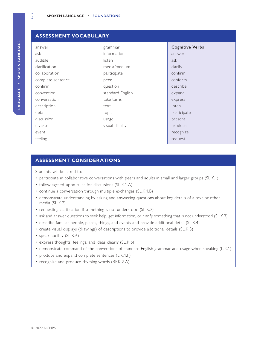| <b>ASSESSMENT VOCABULARY</b> |                  |                        |
|------------------------------|------------------|------------------------|
| answer                       | grammar          | <b>Cognitive Verbs</b> |
| ask                          | information      | answer                 |
| audible                      | listen           | ask                    |
| clarification                | media/medium     | clarify                |
| collaboration                | participate      | confirm                |
| complete sentence            | peer             | conform                |
| confirm                      | question         | describe               |
| convention                   | standard English | expand                 |
| conversation                 | take turns       | express                |
| description                  | text             | listen                 |
| detail                       | topic            | participate            |
| discussion                   | usage            | present                |
| diverse                      | visual display   | produce                |
| event                        |                  | recognize              |
| feeling                      |                  | request                |
|                              |                  |                        |

#### **ASSESSMENT CONSIDERATIONS**

Students will be asked to:

- participate in collaborative conversations with peers and adults in small and larger groups (SL.K.1)
- follow agreed-upon rules for discussions (SL.K.1.A)
- continue a conversation through multiple exchanges (SL.K.1.B)
- demonstrate understanding by asking and answering questions about key details of a text or other media (SL.K.2)
- requesting clarification if something is not understood (SL.K.2)
- ask and answer questions to seek help, get information, or clarify something that is not understood (SL.K.3)
- describe familiar people, places, things, and events and provide additional detail (SL.K.4)
- create visual displays (drawings) of descriptions to provide additional details (SL.K.5)
- speak audibly (SL.K.6)
- express thoughts, feelings, and ideas clearly (SL.K.6)
- demonstrate command of the conventions of standard English grammar and usage when speaking (L.K.1)
- produce and expand complete sentences (L.K.1.F)
- recognize and produce rhyming words (RF.K.2.A)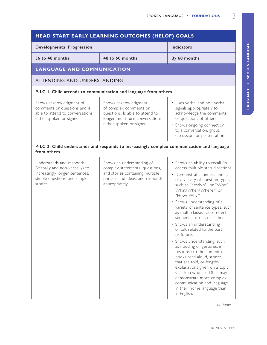LAUGUAGE . SPOKEN LANGUAGE **LAUGUAGE • Spoken Language**

| HEAD START EARLY LEARNING OUTCOMES (HELOF) GOALS                                                                                         |                                                                                                                                                     |                                                                                                                                                                                                                                                                                                                                                                                                                                                                                                                                                                                                                                                                                                                                                      |
|------------------------------------------------------------------------------------------------------------------------------------------|-----------------------------------------------------------------------------------------------------------------------------------------------------|------------------------------------------------------------------------------------------------------------------------------------------------------------------------------------------------------------------------------------------------------------------------------------------------------------------------------------------------------------------------------------------------------------------------------------------------------------------------------------------------------------------------------------------------------------------------------------------------------------------------------------------------------------------------------------------------------------------------------------------------------|
| <b>Developmental Progression</b>                                                                                                         |                                                                                                                                                     | <b>Indicators</b>                                                                                                                                                                                                                                                                                                                                                                                                                                                                                                                                                                                                                                                                                                                                    |
| 36 to 48 months                                                                                                                          | 48 to 60 months                                                                                                                                     | By 60 months                                                                                                                                                                                                                                                                                                                                                                                                                                                                                                                                                                                                                                                                                                                                         |
| <b>LANGUAGE AND COMMUNICATION</b>                                                                                                        |                                                                                                                                                     |                                                                                                                                                                                                                                                                                                                                                                                                                                                                                                                                                                                                                                                                                                                                                      |
| ATTENDING AND UNDERSTANDING                                                                                                              |                                                                                                                                                     |                                                                                                                                                                                                                                                                                                                                                                                                                                                                                                                                                                                                                                                                                                                                                      |
|                                                                                                                                          | P-LC 1. Child attends to communication and language from others                                                                                     |                                                                                                                                                                                                                                                                                                                                                                                                                                                                                                                                                                                                                                                                                                                                                      |
| Shows acknowledgment of<br>comments or questions and is<br>able to attend to conversations,<br>either spoken or signed.                  | Shows acknowledgment<br>of complex comments or<br>questions. Is able to attend to<br>longer, multi-turn conversations,<br>either spoken or signed.  | • Uses verbal and non-verbal<br>signals appropriately to<br>acknowledge the comments<br>or questions of others.<br>• Shows ongoing connection<br>to a conversation, group<br>discussion, or presentation.                                                                                                                                                                                                                                                                                                                                                                                                                                                                                                                                            |
| from others                                                                                                                              | P-LC 2. Child understands and responds to increasingly complex communication and language                                                           |                                                                                                                                                                                                                                                                                                                                                                                                                                                                                                                                                                                                                                                                                                                                                      |
| Understands and responds<br>(verbally and non-verbally) to<br>increasingly longer sentences,<br>simple questions, and simple<br>stories. | Shows an understanding of<br>complex statements, questions,<br>and stories containing multiple<br>phrases and ideas, and responds<br>appropriately. | • Shows an ability to recall (in<br>order) multiple step directions<br>• Demonstrates understanding<br>of a variety of question types,<br>such as "Yes/No?" or "Who/<br>What/When/Where?" or<br>"How/ Why?"<br>• Shows understanding of a<br>variety of sentence types, such<br>as multi-clause, cause-effect,<br>sequential order, or if-then.<br>• Shows an understanding<br>of talk related to the past<br>or future.<br>• Shows understanding, such<br>as nodding or gestures, in<br>response to the content of<br>books read aloud, stories<br>that are told, or lengthy<br>explanations given on a topic.<br>Children who are DLLs may<br>demonstrate more complex<br>communication and language<br>in their home language than<br>in English. |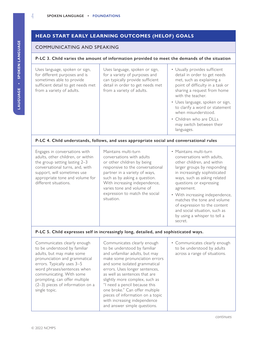# **HEAD START EARLY LEARNING OUTCOMES (HELOF) GOALS**

#### COMMUNICATING AND SPEAKING

#### **P-LC 3. Child varies the amount of information provided to meet the demands of the situation**

| Uses language, spoken or sign,<br>for different purposes and is<br>sometimes able to provide<br>sufficient detail to get needs met<br>from a variety of adults.                                                                   | Uses language, spoken or sign,<br>for a variety of purposes and<br>can typically provide sufficient<br>detail in order to get needs met<br>from a variety of adults.                                                                                | • Usually provides sufficient<br>detail in order to get needs<br>met, such as explaining a<br>point of difficulty in a task or<br>sharing a request from home<br>with the teacher.<br>• Uses language, spoken or sign,<br>to clarify a word or statement<br>when misunderstood.<br>• Children who are DLLs<br>may switch between their<br>languages. |  |
|-----------------------------------------------------------------------------------------------------------------------------------------------------------------------------------------------------------------------------------|-----------------------------------------------------------------------------------------------------------------------------------------------------------------------------------------------------------------------------------------------------|------------------------------------------------------------------------------------------------------------------------------------------------------------------------------------------------------------------------------------------------------------------------------------------------------------------------------------------------------|--|
| P-LC 4. Child understands, follows, and uses appropriate social and conversational rules                                                                                                                                          |                                                                                                                                                                                                                                                     |                                                                                                                                                                                                                                                                                                                                                      |  |
| Engages in conversations with<br>adults, other children, or within<br>the group setting lasting 2-3<br>conversational turns, and, with<br>support, will sometimes use<br>appropriate tone and volume for<br>different situations. | Maintains multi-turn<br>conversations with adults<br>or other children by being<br>responsive to the conversational<br>partner in a variety of ways,<br>such as by asking a question.<br>With increasing independence,<br>varies tone and volume of | • Maintains multi-turn<br>conversations with adults,<br>other children, and within<br>larger groups by responding<br>in increasingly sophisticated<br>ways, such as asking related<br>questions or expressing<br>agreement.                                                                                                                          |  |

expression to match the social

• With increasing independence, matches the tone and volume of expression to the content and social situation, such as by using a whisper to tell a secret.

#### **P-LC 5. Child expresses self in increasingly long, detailed, and sophisticated ways.**

situation.

Communicates clearly enough to be understood by familiar adults, but may make some pronunciation and grammatical errors. Typically uses 3–5 word phrases/sentences when communicating. With some prompting, can offer multiple (2–3) pieces of information on a single topic.

Communicates clearly enough to be understood by familiar and unfamiliar adults, but may make some pronunciation errors and some isolated grammatical errors. Uses longer sentences, as well as sentences that are slightly more complex, such as "I need a pencil because this one broke." Can offer multiple pieces of information on a topic with increasing independence and answer simple questions.

• Communicates clearly enough to be understood by adults across a range of situations.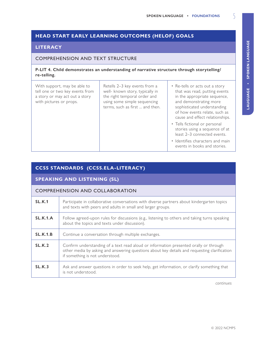# **HEAD START EARLY LEARNING OUTCOMES (HELOF) GOALS**

#### **LITERACY**

#### COMPREHENSION AND TEXT STRUCTURE

#### **P-LIT 4. Child demonstrates an understanding of narrative structure through storytelling/ re-telling.**

| With support, may be able to<br>tell one or two key events from<br>a story or may act out a story<br>with pictures or props. | Retells 2-3 key events from a<br>well- known story, typically in<br>the right temporal order and<br>using some simple sequencing<br>terms, such as first  and then. | • Re-tells or acts out a story<br>that was read, putting events<br>in the appropriate sequence,<br>and demonstrating more<br>sophisticated understanding<br>of how events relate, such as<br>cause and effect relationships.<br>• Tells fictional or personal |
|------------------------------------------------------------------------------------------------------------------------------|---------------------------------------------------------------------------------------------------------------------------------------------------------------------|---------------------------------------------------------------------------------------------------------------------------------------------------------------------------------------------------------------------------------------------------------------|
|                                                                                                                              |                                                                                                                                                                     | stories using a sequence of at<br>least 2-3 connected events.                                                                                                                                                                                                 |
|                                                                                                                              |                                                                                                                                                                     | • Identifies characters and main<br>events in books and stories.                                                                                                                                                                                              |

# **CCSS STANDARDS (CCSS.ELA-LITERACY)**

#### **SPEAKING AND LISTENING (SL)**

#### COMPREHENSION AND COLLABORATION

| SL.K.1          | Participate in collaborative conversations with diverse partners about kindergarten topics<br>and texts with peers and adults in small and larger groups.                                                                |
|-----------------|--------------------------------------------------------------------------------------------------------------------------------------------------------------------------------------------------------------------------|
| SLK.1.A         | Follow agreed-upon rules for discussions (e.g., listening to others and taking turns speaking<br>about the topics and texts under discussion).                                                                           |
| <b>SL.K.1.B</b> | Continue a conversation through multiple exchanges.                                                                                                                                                                      |
| SL.K.2          | Confirm understanding of a text read aloud or information presented orally or through<br>other media by asking and answering questions about key details and requesting clarification<br>if something is not understood. |
| SL.K.3          | Ask and answer questions in order to seek help, get information, or clarify something that<br>is not understood.                                                                                                         |

*continues*

LAUGUAGE . SPOKEN LANGUAGE **LAUGUAGE • Spoken Language**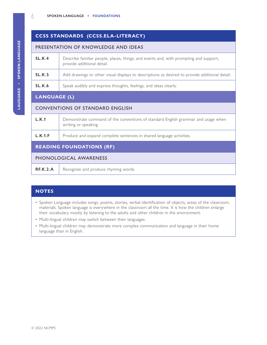# **CCSS STANDARDS (CCSS.ELA-LITERACY)**

#### PRESENTATION OF KNOWLEDGE AND IDEAS

| SL.K.4 | Describe familiar people, places, things, and events and, with prompting and support,<br>provide additional detail. |
|--------|---------------------------------------------------------------------------------------------------------------------|
| SL.K.5 | Add drawings or other visual displays to descriptions as desired to provide additional detail.                      |
| SL.K.6 | Speak audibly and express thoughts, feelings, and ideas clearly.                                                    |

#### **LANGUAGE (L)**

#### CONVENTIONS OF STANDARD ENGLISH

| L.K.1   | Demonstrate command of the conventions of standard English grammar and usage when<br>writing or speaking. |
|---------|-----------------------------------------------------------------------------------------------------------|
| L.K.1.F | Produce and expand complete sentences in shared language activities.                                      |

# **READING FOUNDATIONS (RF)**

### PHONOLOGICAL AWARENESS

| <b>RF.K.2.A</b><br>Recognize and produce rhyming words. |  |
|---------------------------------------------------------|--|
|---------------------------------------------------------|--|

### **NOTES**

- Spoken Language includes songs, poems, stories, verbal identification of objects, areas of the classroom, materials. Spoken language is everywhere in the classroom all the time. It is how the children enlarge their vocabulary mostly by listening to the adults and other children in the environment.
- Multi-lingual children may switch between their languages.
- Multi-lingual children may demonstrate more complex communication and language in their home language than in English.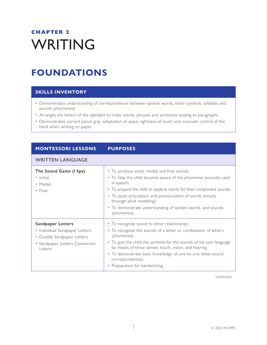# <span id="page-14-0"></span>**CHAPTER 2** WRITING

# **FOUNDATIONS**

# **SKILLS INVENTORY**

- Demonstrates understanding of correspondence between spoken words, letter symbols, syllables and sounds (phonemes)
- Arranges the letters of the alphabet to make words, phrases and sentences leading to paragraphs
- Demonstrates correct pencil grip, adaptation of space, lightness of touch and muscular control of the hand when writing on paper

| <b>MONTESSORI LESSONS</b>                                                                                                            | <b>PURPOSES</b>                                                                                                                                                                                                                                                                                                                                                                   |
|--------------------------------------------------------------------------------------------------------------------------------------|-----------------------------------------------------------------------------------------------------------------------------------------------------------------------------------------------------------------------------------------------------------------------------------------------------------------------------------------------------------------------------------|
| <b>WRITTEN LANGUAGE</b>                                                                                                              |                                                                                                                                                                                                                                                                                                                                                                                   |
| The Sound Game (I Spy)<br>• Initial<br>• Medial<br>$\cdot$ Final                                                                     | • To produce initial, medial and final sounds<br>• To help the child become aware of the phonemes (sounds) used<br>in speech.<br>• To prepare the child to explore words for their component sounds.<br>• To assist articulation and pronunciation of words (mostly<br>through adult modeling).<br>• To demonstrate understanding of spoken words, and sounds<br>(phonemes).      |
| <b>Sandpaper Letters</b><br>• Individual Sandpaper Letters<br>• Double Sandpaper Letters<br>• Sandpaper Letters Connection<br>Lesson | • To recognize sound to letter relationships<br>• To recognize the sounds of a letter or combination of letters<br>(phonemes)<br>• To give the child the symbols for the sounds of his own language<br>by means of three senses: touch, vision, and hearing.<br>• To demonstrate basic knowledge of one-to-one letter-sound<br>correspondences.<br>• Preparation for handwriting. |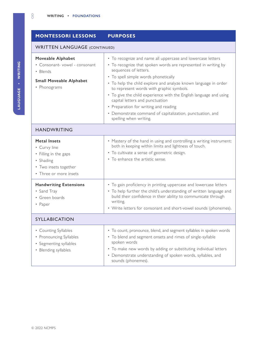# **MONTESSORI LESSONS PURPOSES**

#### WRITTEN LANGUAGE (CONTINUED)

| <b>Moveable Alphabet</b><br>• Consonant-vowel - consonant<br>• Blends<br><b>Small Moveable Alphabet</b><br>• Phonograms<br><b>HANDWRITING</b> | • To recognize and name all uppercase and lowercase letters<br>• To recognize that spoken words are represented in writing by<br>sequences of letters.<br>• To spell simple words phonetically<br>• To help the child explore and analyze known language in order<br>to represent words with graphic symbols.<br>• To give the child experience with the English language and using<br>capital letters and punctuation<br>• Preparation for writing and reading<br>• Demonstrate command of capitalization, punctuation, and<br>spelling when writing. |
|-----------------------------------------------------------------------------------------------------------------------------------------------|--------------------------------------------------------------------------------------------------------------------------------------------------------------------------------------------------------------------------------------------------------------------------------------------------------------------------------------------------------------------------------------------------------------------------------------------------------------------------------------------------------------------------------------------------------|
|                                                                                                                                               |                                                                                                                                                                                                                                                                                                                                                                                                                                                                                                                                                        |
| <b>Metal Insets</b><br>• Curvy line<br>• Filling in the gaps<br>• Shading<br>• Two insets together<br>• Three or more insets                  | • Mastery of the hand in using and controlling a writing instrument:<br>both in keeping within limits and lightness of touch.<br>• To cultivate a sense of geometric design.<br>• To enhance the artistic sense.                                                                                                                                                                                                                                                                                                                                       |
| <b>Handwriting Extensions</b><br>• Sand Tray<br>• Green boards<br>• Paper                                                                     | • To gain proficiency in printing uppercase and lowercase letters<br>• To help further the child's understanding of written language and<br>build their confidence in their ability to communicate through<br>writing.<br>• Write letters for consonant and short-vowel sounds (phonemes).                                                                                                                                                                                                                                                             |
| <b>SYLLABICATION</b>                                                                                                                          |                                                                                                                                                                                                                                                                                                                                                                                                                                                                                                                                                        |
| • Counting Syllables<br>• Pronouncing Syllables<br>• Segmenting syllables<br>• Blending syllables                                             | • To count, pronounce, blend, and segment syllables in spoken words<br>• To blend and segment onsets and rimes of single-syllable<br>spoken words<br>• To make new words by adding or substituting individual letters<br>• Demonstrate understanding of spoken words, syllables, and<br>sounds (phonemes).                                                                                                                                                                                                                                             |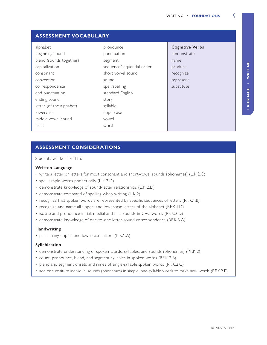| <b>ASSESSMENT VOCABULARY</b> |                           |                        |
|------------------------------|---------------------------|------------------------|
| alphabet                     | pronounce                 | <b>Cognitive Verbs</b> |
| beginning sound              | punctuation               | demonstrate            |
| blend (sounds together)      | segment                   | name                   |
| capitalization               | sequence/sequential order | produce                |
| consonant                    | short vowel sound         | recognize              |
| convention                   | sound                     | represent              |
| correspondence               | spell/spelling            | substitute             |
| end punctuation              | standard English          |                        |
| ending sound                 | story                     |                        |
| letter (of the alphabet)     | syllable                  |                        |
| lowercase                    | uppercase                 |                        |
| middle vowel sound           | vowel                     |                        |
| print                        | word                      |                        |

## **ASSESSMENT CONSIDERATIONS**

Students will be asked to:

#### **Written Language**

- write a letter or letters for most consonant and short-vowel sounds (phonemes) (L.K.2.C)
- spell simple words phonetically (L.K.2.D)
- demonstrate knowledge of sound-letter relationships (L.K.2.D)
- demonstrate command of spelling when writing (L.K.2)
- recognize that spoken words are represented by specific sequences of letters (RF.K.1.B)
- recognize and name all upper- and lowercase letters of the alphabet (RF.K.1.D)
- isolate and pronounce initial, medial and final sounds in CVC words (RF.K.2.D)
- demonstrate knowledge of one-to-one letter-sound correspondence (RF.K.3.A)

#### **Handwriting**

• print many upper- and lowercase letters (L.K.1.A)

#### **Syllabication**

- demonstrate understanding of spoken words, syllables, and sounds (phonemes) (RF.K.2)
- count, pronounce, blend, and segment syllables in spoken words (RF.K.2.B)
- blend and segment onsets and rimes of single-syllable spoken words (RF.K.2.C)
- add or substitute individual sounds (phonemes) in simple, one-syllable words to make new words (RF.K.2.E)

LAUGUAGE - WRITING **LAUGUAGE • Writing**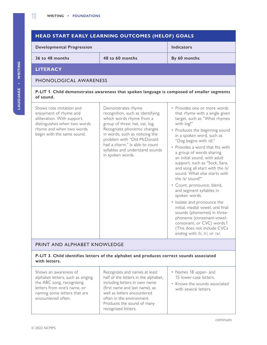#### **HEAD START EARLY LEARNING OUTCOMES (HELOF) GOALS Developmental Progression Indicators 36 to 48 months 48 to 60 months By 60 months LITERACY** PHONOLOGICAL AWARENESS **P-LIT 1. Child demonstrates awareness that spoken language is composed of smaller segments of sound.** Shows rote imitation and enjoyment of rhyme and alliteration. With support, distinguishes when two words rhyme and when two words begin with the same sound. Demonstrates rhyme recognition, such as identifying which words rhyme from a group of three: hat, cat, log. Recognizes phonemic changes in words, such as noticing the problem with "Old McDonald had a charm." Is able to count syllables and understand sounds in spoken words. • Provides one or more words that rhyme with a single given target, such as "What rhymes with log?" • Produces the beginning sound in a spoken word, such as "Dog begins with /d/." • Provides a word that fits with a group of words sharing an initial sound, with adult support, such as "Sock, Sara, and song all start with the /s/ sound. What else starts with the /s/ sound?" • Count, pronounce, blend, and segment syllables in spoken words. • Isolate and pronounce the initial, medial vowel, and final sounds (phonemes) in threephoneme (consonant-vowelconsonant, or CVC) words.1 (This does not include CVCs ending with /l/, /r/, or /x/.

### PRINT AND ALPHABET KNOWLEDGE

#### **P-LIT 3. Child identifies letters of the alphabet and produces correct sounds associated with letters.**

Shows an awareness of alphabet letters, such as singing the ABC song, recognizing letters from one's name, or naming some letters that are encountered often.

Recognizes and names at least half of the letters in the alphabet, including letters in own name (first name and last name), as well as letters encountered often in the environment. Produces the sound of many recognized letters.

- Names 18 upper- and 15 lower-case letters.
- Knows the sounds associated with several letters.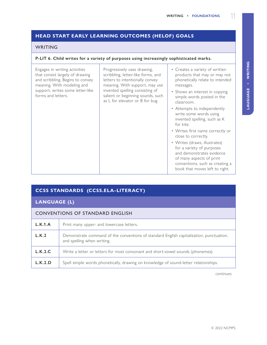# **HEAD START EARLY LEARNING OUTCOMES (HELOF) GOALS**

#### WRITING

#### **P-LIT 6. Child writes for a variety of purposes using increasingly sophisticated marks.**

| Engages in writing activities<br>that consist largely of drawing<br>and scribbling. Begins to convey<br>meaning. With modeling and<br>support, writes some letter-like<br>forms and letters. | Progressively uses drawing,<br>scribbling, letter-like forms, and<br>letters to intentionally convey<br>meaning. With support, may use<br>invented spelling consisting of<br>salient or beginning sounds, such<br>as L for elevator or B for bug. | • Creates a variety of written<br>products that may or may not<br>phonetically relate to intended<br>messages.<br>• Shows an interest in copying<br>simple words posted in the<br>classroom. |
|----------------------------------------------------------------------------------------------------------------------------------------------------------------------------------------------|---------------------------------------------------------------------------------------------------------------------------------------------------------------------------------------------------------------------------------------------------|----------------------------------------------------------------------------------------------------------------------------------------------------------------------------------------------|
|                                                                                                                                                                                              |                                                                                                                                                                                                                                                   | • Attempts to independently<br>write some words using<br>invented spelling, such as K<br>for kite.<br>• Writes first name correctly or<br>close to correctly.                                |
|                                                                                                                                                                                              |                                                                                                                                                                                                                                                   | • Writes (draws, illustrates)<br>for a variety of purposes<br>and demonstrates evidence<br>of many aspects of print<br>conventions, such as creating a<br>book that moves left to right.     |

|  | <b>CCSS STANDARDS (CCSS.ELA-LITERACY)</b> |
|--|-------------------------------------------|
|--|-------------------------------------------|

**LANGUAGE (L)**

| <b>CONVENTIONS OF STANDARD ENGLISH</b> |                                                                                                                       |  |
|----------------------------------------|-----------------------------------------------------------------------------------------------------------------------|--|
| L.K.1.A                                | Print many upper- and lowercase letters.                                                                              |  |
| L.K.2                                  | Demonstrate command of the conventions of standard English capitalization, punctuation,<br>and spelling when writing. |  |
| L.K.2.C                                | Write a letter or letters for most consonant and short-vowel sounds (phonemes).                                       |  |
| L.K.2.D                                | Spell simple words phonetically, drawing on knowledge of sound-letter relationships.                                  |  |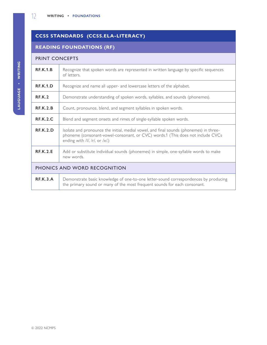# **CCSS STANDARDS (CCSS.ELA-LITERACY)**

# **READING FOUNDATIONS (RF)**

#### PRINT CONCEPTS

| <b>RF.K.1.B</b>              | Recognize that spoken words are represented in written language by specific sequences<br>of letters.                                                                                                          |  |
|------------------------------|---------------------------------------------------------------------------------------------------------------------------------------------------------------------------------------------------------------|--|
| <b>RF.K.1.D</b>              | Recognize and name all upper- and lowercase letters of the alphabet.                                                                                                                                          |  |
| RE.K.2                       | Demonstrate understanding of spoken words, syllables, and sounds (phonemes).                                                                                                                                  |  |
| RE.K.2.B                     | Count, pronounce, blend, and segment syllables in spoken words.                                                                                                                                               |  |
| REK.2.C                      | Blend and segment onsets and rimes of single-syllable spoken words.                                                                                                                                           |  |
| REK.2.D                      | Isolate and pronounce the initial, medial vowel, and final sounds (phonemes) in three-<br>phoneme (consonant-vowel-consonant, or CVC) words.1 (This does not include CVCs<br>ending with /l/, /r/, or $/x$ .) |  |
| <b>RF.K.2.E</b>              | Add or substitute individual sounds (phonemes) in simple, one-syllable words to make<br>new words.                                                                                                            |  |
| PHONICS AND WORD RECOGNITION |                                                                                                                                                                                                               |  |
| RE.K.3.A                     | Demonstrate basic knowledge of one-to-one letter-sound correspondences by producing<br>the primary sound or many of the most frequent sounds for each consonant.                                              |  |
|                              |                                                                                                                                                                                                               |  |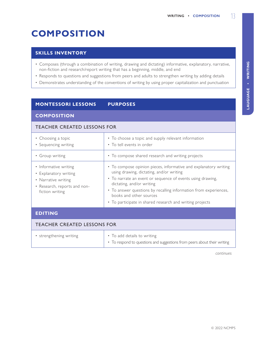# <span id="page-20-0"></span>**COMPOSITION**

### **SKILLS INVENTORY**

- Composes (through a combination of writing, drawing and dictating) informative, explanatory, narrative, non-fiction and research/report writing that has a beginning, middle, and end
- Responds to questions and suggestions from peers and adults to strengthen writing by adding details
- Demonstrates understanding of the conventions of writing by using proper capitalization and punctuation

# **MONTESSORI LESSONS PURPOSES**

### **COMPOSITION**

#### TEACHER CREATED LESSONS FOR

| • Choosing a topic<br>• Sequencing writing                                                                               | • To choose a topic and supply relevant information<br>• To tell events in order                                                                                                                                                                                                                                                                                   |  |
|--------------------------------------------------------------------------------------------------------------------------|--------------------------------------------------------------------------------------------------------------------------------------------------------------------------------------------------------------------------------------------------------------------------------------------------------------------------------------------------------------------|--|
| • Group writing                                                                                                          | • To compose shared research and writing projects                                                                                                                                                                                                                                                                                                                  |  |
| • Informative writing<br>• Explanatory writing<br>• Narrative writing<br>• Research, reports and non-<br>fiction writing | • To compose opinion pieces, informative and explanatory writing<br>using drawing, dictating, and/or writing<br>• To narrate an event or sequence of events using drawing,<br>dictating, and/or writing<br>• To answer questions by recalling information from experiences,<br>books and other sources<br>• To participate in shared research and writing projects |  |
| <b>EDITING</b>                                                                                                           |                                                                                                                                                                                                                                                                                                                                                                    |  |
| <b>TEACHER CREATED LESSONS FOR</b>                                                                                       |                                                                                                                                                                                                                                                                                                                                                                    |  |
| • strengthening writing                                                                                                  | • To add details to writing                                                                                                                                                                                                                                                                                                                                        |  |

• To respond to questions and suggestions from peers about their writing

*continues*

LAUGUAGE . WRITING **LAUGUAGE • Writing**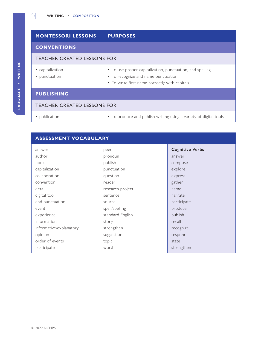# **MONTESSORI LESSONS PURPOSES CONVENTIONS** TEACHER CREATED LESSONS FOR • capitalization • punctuation • To use proper capitalization, punctuation, and spelling • To recognize and name punctuation • To write first name correctly with capitals **PUBLISHING** TEACHER CREATED LESSONS FOR • publication • To produce and publish writing using a variety of digital tools

# **ASSESSMENT VOCABULARY**

| answer                  | peer             | <b>Cognitive Verbs</b> |
|-------------------------|------------------|------------------------|
| author                  | pronoun          | answer                 |
| book                    | publish          | compose                |
| capitalization          | punctuation      | explore                |
| collaboration           | question         | express                |
| convention              | reader           | gather                 |
| detail                  | research project | name                   |
| digital tool            | sentence         | narrate                |
| end punctuation         | source           | participate            |
| event                   | spell/spelling   | produce                |
| experience              | standard English | publish                |
| information             | story            | recall                 |
| informative/explanatory | strengthen       | recognize              |
| opinion                 | suggestion       | respond                |
| order of events         | topic            | state                  |
| participate             | word             | strengthen             |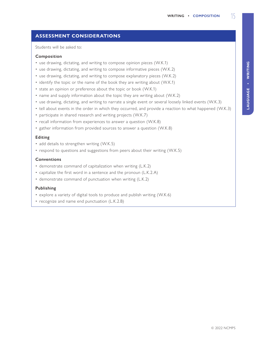# **ASSESSMENT CONSIDERATIONS**

Students will be asked to:

#### **Composition**

- use drawing, dictating, and writing to compose opinion pieces (W.K.1)
- use drawing, dictating, and writing to compose informative pieces (W.K.2)
- use drawing, dictating, and writing to compose explanatory pieces (W.K.2)
- identify the topic or the name of the book they are writing about (W.K.1)
- state an opinion or preference about the topic or book (W.K.1)
- name and supply information about the topic they are writing about (W.K.2)
- use drawing, dictating, and writing to narrate a single event or several loosely linked events (W.K.3)
- tell about events in the order in which they occurred, and provide a reaction to what happened (W.K.3)
- participate in shared research and writing projects (W.K.7)
- recall information from experiences to answer a question (W.K.8)
- gather information from provided sources to answer a question (W.K.8)

#### **Editing**

- add details to strengthen writing (W.K.5)
- respond to questions and suggestions from peers about their writing (W.K.5)

#### **Conventions**

- demonstrate command of capitalization when writing (L.K.2)
- capitalize the first word in a sentence and the pronoun (L.K.2.A)
- demonstrate command of punctuation when writing (L.K.2)

#### **Publishing**

- explore a variety of digital tools to produce and publish writing (W.K.6)
- recognize and name end punctuation (L.K.2.B)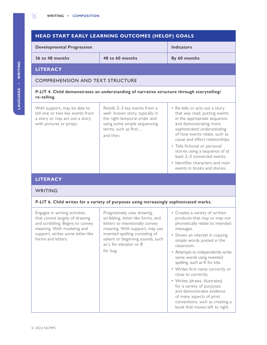# **HEAD START EARLY LEARNING OUTCOMES (HELOF) GOALS**

| <b>Developmental Progression</b> |                 | <b>Indicators</b> |
|----------------------------------|-----------------|-------------------|
| 36 to 48 months                  | 48 to 60 months | By 60 months      |
| I ITED A <i>r</i> v              |                 |                   |

**LITERACY**

#### COMPREHENSION AND TEXT STRUCTURE

#### **P-LIT 4. Child demonstrates an understanding of narrative structure through storytelling/ re-telling.**

With support, may be able to tell one or two key events from a story or may act out a story with pictures or props.

Retells 2–3 key events from a well- known story, typically in the right temporal order and using some simple sequencing terms, such as first ... and then.

- Re-tells or acts out a story that was read, putting events in the appropriate sequence, and demonstrating more sophisticated understanding of how events relate, such as cause and effect relationships.
- Tells fictional or personal stories using a sequence of at least 2–3 connected events.
- Identifies characters and main events in books and stories.

#### **LITERACY**

#### WRITING

#### **P-LIT 6. Child writes for a variety of purposes using increasingly sophisticated marks.**

Engages in writing activities that consist largely of drawing and scribbling. Begins to convey meaning. With modeling and support, writes some letter-like forms and letters.

Progressively uses drawing, scribbling, letter-like forms, and letters to intentionally convey meaning. With support, may use invented spelling consisting of salient or beginning sounds, such as L for elevator or B for bug.

- Creates a variety of written products that may or may not phonetically relate to intended messages.
- Shows an interest in copying simple words posted in the classroom.

• Attempts to independently write some words using invented spelling, such as K for kite.

- Writes first name correctly or close to correctly.
- Writes (draws, illustrates) for a variety of purposes and demonstrates evidence of many aspects of print conventions, such as creating a book that moves left to right.

LAUGUAGE . WRITING **LAUGUAGE • Writing**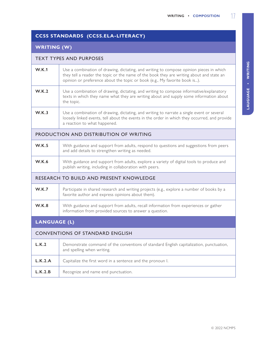# **CCSS STANDARDS (CCSS.ELA-LITERACY)**

# **WRITING (W)**

#### TEXT TYPES AND PURPOSES

| <b>W.K.1</b>                                   | Use a combination of drawing, dictating, and writing to compose opinion pieces in which<br>they tell a reader the topic or the name of the book they are writing about and state an<br>opinion or preference about the topic or book (e.g., My favorite book is). |  |
|------------------------------------------------|-------------------------------------------------------------------------------------------------------------------------------------------------------------------------------------------------------------------------------------------------------------------|--|
| <b>W.K.2</b>                                   | Use a combination of drawing, dictating, and writing to compose informative/explanatory<br>texts in which they name what they are writing about and supply some information about<br>the topic.                                                                   |  |
| <b>W.K.3</b>                                   | Use a combination of drawing, dictating, and writing to narrate a single event or several<br>loosely linked events, tell about the events in the order in which they occurred, and provide<br>a reaction to what happened.                                        |  |
| PRODUCTION AND DISTRIBUTION OF WRITING         |                                                                                                                                                                                                                                                                   |  |
| W.K.5                                          | With guidance and support from adults, respond to questions and suggestions from peers<br>and add details to strengthen writing as needed.                                                                                                                        |  |
| <b>W.K.6</b>                                   | With guidance and support from adults, explore a variety of digital tools to produce and<br>publish writing, including in collaboration with peers.                                                                                                               |  |
| <b>RESEARCH TO BUILD AND PRESENT KNOWLEDGE</b> |                                                                                                                                                                                                                                                                   |  |
| W.K.7                                          | Participate in shared research and writing projects (e.g., explore a number of books by a<br>favorite author and express opinions about them).                                                                                                                    |  |
| <b>W.K.8</b>                                   | With guidance and support from adults, recall information from experiences or gather<br>information from provided sources to answer a question.                                                                                                                   |  |
| <b>LANGUAGE (L)</b>                            |                                                                                                                                                                                                                                                                   |  |

#### **LANGUAGE (L)**

#### CONVENTIONS OF STANDARD ENGLISH

| L.K.2   | Demonstrate command of the conventions of standard English capitalization, punctuation,<br>and spelling when writing. |
|---------|-----------------------------------------------------------------------------------------------------------------------|
| L.K.2.A | Capitalize the first word in a sentence and the pronoun I.                                                            |
| L.K.2.B | Recognize and name end punctuation.                                                                                   |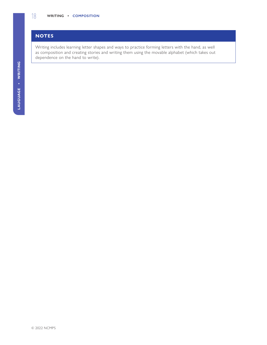# **NOTES**

Writing includes learning letter shapes and ways to practice forming letters with the hand, as well as composition and creating stories and writing them using the movable alphabet (which takes out dependence on the hand to write).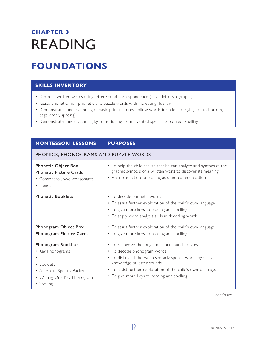# <span id="page-26-0"></span>**CHAPTER 3** READING

# **FOUNDATIONS**

## **SKILLS INVENTORY**

- Decodes written words using letter-sound correspondence (single letters, digraphs)
- Reads phonetic, non-phonetic and puzzle words with increasing fluency
- Demonstrates understanding of basic print features (follow words from left to right, top to bottom, page order, spacing)
- Demonstrates understanding by transitioning from invented spelling to correct spelling

# **MONTESSORI LESSONS PURPOSES**

#### PHONICS, PHONOGRAMS AND PUZZLE WORDS

| <b>Phonetic Object Box</b><br><b>Phonetic Picture Cards</b><br>• Consonant-vowel-consonants<br>• Blends                                                   | • To help the child realize that he can analyze and synthesize the<br>graphic symbols of a written word to discover its meaning<br>• An introduction to reading as silent communication                                                                                                     |
|-----------------------------------------------------------------------------------------------------------------------------------------------------------|---------------------------------------------------------------------------------------------------------------------------------------------------------------------------------------------------------------------------------------------------------------------------------------------|
| <b>Phonetic Booklets</b>                                                                                                                                  | • To decode phonetic words<br>• To assist further exploration of the child's own language.<br>• To give more keys to reading and spelling<br>• To apply word analysis skills in decoding words                                                                                              |
| Phonogram Object Box<br><b>Phonogram Picture Cards</b>                                                                                                    | • To assist further exploration of the child's own language<br>• To give more keys to reading and spelling                                                                                                                                                                                  |
| <b>Phonogram Booklets</b><br>• Key Phonograms<br>$\cdot$ Lists<br>• Booklets<br>• Alternate Spelling Packets<br>• Writing One Key Phonogram<br>• Spelling | • To recognize the long and short sounds of vowels<br>• To decode phonogram words<br>• To distinguish between similarly spelled words by using<br>knowledge of letter sounds<br>• To assist further exploration of the child's own language.<br>• To give more keys to reading and spelling |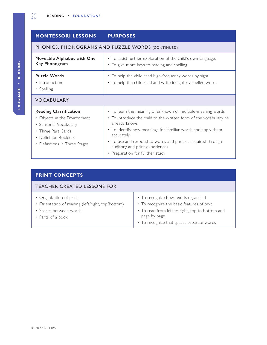#### **MONTESSORI LESSONS PURPOSES** PHONICS, PHONOGRAMS AND PUZZLE WORDS (CONTINUED) **Moveable Alphabet with One Key Phonogram** • To assist further exploration of the child's own language. • To give more keys to reading and spelling **Puzzle Words** • Introduction • Spelling • To help the child read high-frequency words by sight • To help the child read and write irregularly spelled words VOCABULARY **Reading Classification** • Objects in the Environment • Sensorial Vocabulary • Three Part Cards • Definition Booklets • Definitions in Three Stages • To learn the meaning of unknown or multiple-meaning words • To introduce the child to the written form of the vocabulary he already knows • To identify new meanings for familiar words and apply them accurately • To use and respond to words and phrases acquired through auditory and print experiences • Preparation for further study

# **PRINT CONCEPTS**

| <b>TEACHER CREATED LESSONS FOR</b>                                                                                          |                                                                                                                                                                                                   |  |
|-----------------------------------------------------------------------------------------------------------------------------|---------------------------------------------------------------------------------------------------------------------------------------------------------------------------------------------------|--|
| • Organization of print<br>• Orientation of reading (left/right, top/bottom)<br>• Spaces between words<br>• Parts of a book | • To recognize how text is organized<br>• To recognize the basic features of text<br>• To read from left to right, top to bottom and<br>page by page<br>• To recognize that spaces separate words |  |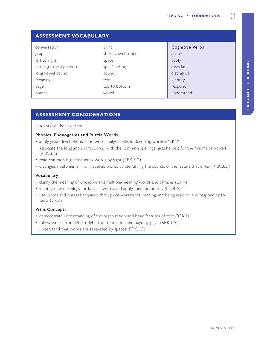| <b>ASSESSMENT VOCABULARY</b> |                   |                        |  |  |
|------------------------------|-------------------|------------------------|--|--|
| conversation                 | print             | <b>Cognitive Verbs</b> |  |  |
| graphic                      | short vowel sound | acquire                |  |  |
| left to right                | space             | apply                  |  |  |
| letter (of the alphabet)     | spell/spelling    | associate              |  |  |
| long vowel sound             | sound             | distinguish            |  |  |
| meaning                      | text              | identify               |  |  |
| page                         | top to bottom     | respond                |  |  |
| phrase                       | vowel             | understand             |  |  |
|                              |                   |                        |  |  |

## **ASSESSMENT CONSIDERATIONS**

Students will be asked to:

#### **Phonics, Phonograms and Puzzle Words**

- apply grade-level phonics and word analysis skills in decoding words (RF.K.3)
- associate the long and short sounds with the common spellings (graphemes) for the five major vowels (RF.K.3.B)
- read common high-frequency words by sight (RF.K.3.C)
- distinguish between similarly spelled words by identifying the sounds of the letters that differ (RF.K.3.D)

#### **Vocabulary**

- clarify the meaning of unknown and multiple-meaning words and phrases (L.K.4)
- identify new meanings for familiar words and apply them accurately (L.K.4.A)
- use words and phrases acquired through conversations, reading and being read to, and responding to texts (L.K.6)

#### **Print Concepts**

- demonstrate understanding of the organization and basic features of text (RF.K.1)
- follow words from left to right, top to bottom, and page by page (RF.K.1.A)
- understand that words are separated by spaces (RF.K.1.C)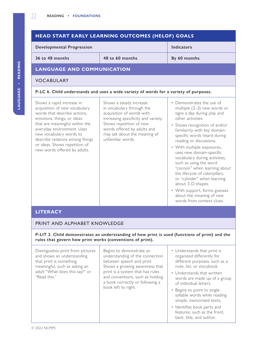#### **HEAD START EARLY LEARNING OUTCOMES (HELOF) GOALS Developmental Progression Indicators 36 to 48 months 48 to 60 months By 60 months LANGUAGE AND COMMUNICATION** VOCABULARY **P-LC 6. Child understands and uses a wide variety of words for a variety of purposes.** Shows a rapid increase in acquisition of new vocabulary words that describe actions, emotions, things, or ideas that are meaningful within the everyday environment. Uses new vocabulary words to describe relations among things or ideas. Shows repetition of new words offered by adults. Shows a steady increase in vocabulary through the acquisition of words with increasing specificity and variety. Shows repetition of new words offered by adults and may ask about the meaning of unfamiliar words. • Demonstrates the use of multiple (2–3) new words or signs a day during play and other activities. • Shows recognition of and/or familiarity with key domainspecific words heard during reading or discussions. • With multiple exposures, uses new domain-specific vocabulary during activities, such as using the word "cocoon" when learning about the lifecycle of caterpillars, or "cylinder" when learning about 3-D shapes. • With support, forms guesses about the meaning of new words from context clues. **LITERACY**

### PRINT AND ALPHABET KNOWLEDGE

**P-LIT 2. Child demonstrates an understanding of how print is used (functions of print) and the rules that govern how print works (conventions of print).**

| Distinguishes print from pictures<br>and shows an understanding<br>that print is something<br>meaningful, such as asking an<br>adult "What does this say?" or<br>"Read this." | Begins to demonstrate an<br>understanding of the connection<br>between speech and print.<br>Shows a growing awareness that<br>print is a system that has rules<br>and conventions, such as holding<br>a book correctly or following a<br>book left to right. | • Understands that print is<br>organized differently for<br>different purposes, such as a<br>note, list, or storybook.<br>• Understands that written<br>words are made up of a group<br>of individual letters.<br>• Begins to point to single-<br>syllable words while reading<br>simple, memorized texts.<br>• Identifies book parts and<br>features, such as the front,<br>back, title, and author. |
|-------------------------------------------------------------------------------------------------------------------------------------------------------------------------------|--------------------------------------------------------------------------------------------------------------------------------------------------------------------------------------------------------------------------------------------------------------|-------------------------------------------------------------------------------------------------------------------------------------------------------------------------------------------------------------------------------------------------------------------------------------------------------------------------------------------------------------------------------------------------------|
|-------------------------------------------------------------------------------------------------------------------------------------------------------------------------------|--------------------------------------------------------------------------------------------------------------------------------------------------------------------------------------------------------------------------------------------------------------|-------------------------------------------------------------------------------------------------------------------------------------------------------------------------------------------------------------------------------------------------------------------------------------------------------------------------------------------------------------------------------------------------------|

LAUGUAGE - READING **LAUGUAGE • Reading**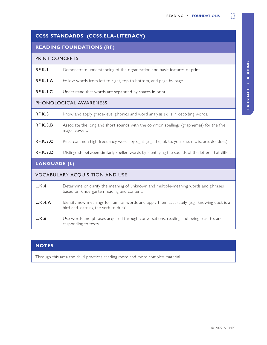# **CCSS STANDARDS (CCSS.ELA-LITERACY)**

## **READING FOUNDATIONS (RF)**

#### PRINT CONCEPTS

| <b>RF.K.1</b>   | Demonstrate understanding of the organization and basic features of print. |
|-----------------|----------------------------------------------------------------------------|
| <b>RF.K.1.A</b> | Follow words from left to right, top to bottom, and page by page.          |
| <b>RF.K.1.C</b> | Understand that words are separated by spaces in print.                    |

### PHONOLOGICAL AWARENESS

| <b>RF.K.3</b>   | Know and apply grade-level phonics and word analysis skills in decoding words.                          |
|-----------------|---------------------------------------------------------------------------------------------------------|
| <b>RF.K.3.B</b> | Associate the long and short sounds with the common spellings (graphemes) for the five<br>major vowels. |
| <b>RF.K.3.C</b> | Read common high-frequency words by sight (e.g., the, of, to, you, she, my, is, are, do, does).         |
| <b>RF.K.3.D</b> | Distinguish between similarly spelled words by identifying the sounds of the letters that differ.       |

# **LANGUAGE (L)**

## VOCABULARY ACQUISITION AND USE

| L.K.4   | Determine or clarify the meaning of unknown and multiple-meaning words and phrases<br>based on kindergarten reading and content.    |
|---------|-------------------------------------------------------------------------------------------------------------------------------------|
| L.K.4.A | Identify new meanings for familiar words and apply them accurately (e.g., knowing duck is a<br>bird and learning the verb to duck). |
| L.K.6   | Use words and phrases acquired through conversations, reading and being read to, and<br>responding to texts.                        |

## **NOTES**

Through this area the child practices reading more and more complex material.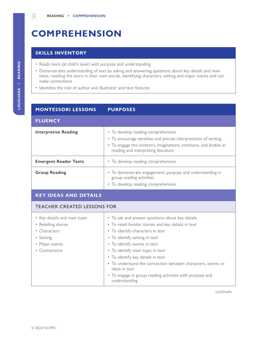# <span id="page-31-0"></span>**COMPREHENSION**

# **SKILLS INVENTORY**

- Reads texts (at child's level) with purpose and understanding
- Demonstrates understanding of text by asking and answering questions about key details and main ideas, retelling the story in their own words, identifying characters, setting and major events and can make connections
- Identifies the role of author and illustrator and text features

| <b>MONTESSORI LESSONS</b>                                                                                           | <b>PURPOSES</b>                                                                                                                                                                                                                                                                                                                                                                                                                                     |  |
|---------------------------------------------------------------------------------------------------------------------|-----------------------------------------------------------------------------------------------------------------------------------------------------------------------------------------------------------------------------------------------------------------------------------------------------------------------------------------------------------------------------------------------------------------------------------------------------|--|
| <b>FLUENCY</b>                                                                                                      |                                                                                                                                                                                                                                                                                                                                                                                                                                                     |  |
| <b>Interpretive Reading</b>                                                                                         | • To develop reading comprehension<br>• To encourage sensitive and precise interpretation of writing<br>• To engage the children's imaginations, emotions, and bodies in<br>reading and interpreting literature                                                                                                                                                                                                                                     |  |
| <b>Emergent Reader Texts</b>                                                                                        | • To develop reading comprehension                                                                                                                                                                                                                                                                                                                                                                                                                  |  |
| <b>Group Reading</b>                                                                                                | • To demonstrate engagement, purpose and understanding in<br>group reading activities<br>• To develop reading comprehension                                                                                                                                                                                                                                                                                                                         |  |
| <b>KEY IDEAS AND DETAILS</b>                                                                                        |                                                                                                                                                                                                                                                                                                                                                                                                                                                     |  |
| <b>TEACHER CREATED LESSONS FOR</b>                                                                                  |                                                                                                                                                                                                                                                                                                                                                                                                                                                     |  |
| • Key details and main topic<br>• Retelling stories<br>• Characters<br>• Setting<br>• Major events<br>• Connections | • To ask and answer questions about key details<br>• To retell familiar stories and key details in text<br>• To identify characters in text<br>• To identify setting in text<br>• To identify events in text<br>• To identify main topic in text<br>• To identify key details in text<br>• To understand the connection between characters, events or<br>ideas in text<br>• To engage in group reading activities with purpose and<br>understanding |  |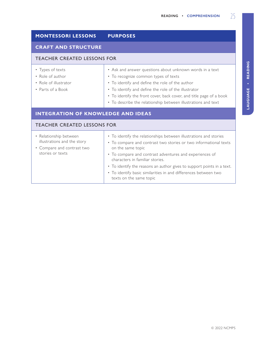# **MONTESSORI LESSONS PURPOSES**

#### **CRAFT AND STRUCTURE**

#### TEACHER CREATED LESSONS FOR

- Types of texts
- Role of author
- Role of illustrator
- Parts of a Book
- Ask and answer questions about unknown words in a text
- To recognize common types of texts
- To identify and define the role of the author
- To identify and define the role of the illustrator
- To identify the front cover, back cover, and title page of a book
- To describe the relationship between illustrations and text

#### **INTEGRATION OF KNOWLEDGE AND IDEAS**

#### TEACHER CREATED LESSONS FOR

| • Relationship between<br>illustrations and the story<br>• Compare and contrast two | • To identify the relationships between illustrations and stories<br>• To compare and contrast two stories or two informational texts<br>on the same topic |
|-------------------------------------------------------------------------------------|------------------------------------------------------------------------------------------------------------------------------------------------------------|
| stories or texts                                                                    | • To compare and contrast adventures and experiences of<br>characters in familiar stories.                                                                 |
|                                                                                     | • To identify the reasons an author gives to support points in a text.                                                                                     |
|                                                                                     | • To identify basic similarities in and differences between two<br>texts on the same topic                                                                 |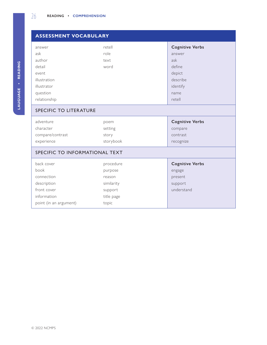|  | answer       |
|--|--------------|
|  | ask          |
|  | author       |
|  | detail       |
|  | event        |
|  | illustratior |
|  | illustrator  |
|  | question     |
|  | relationsh   |
|  |              |

| <b>ASSESSMENT VOCABULARY</b>                                                  |                                                                       |                                                                      |  |  |
|-------------------------------------------------------------------------------|-----------------------------------------------------------------------|----------------------------------------------------------------------|--|--|
| answer<br>ask<br>author<br>detail<br>event                                    | retell<br>role<br>text<br>word                                        | <b>Cognitive Verbs</b><br>answer<br>ask<br>define<br>depict          |  |  |
| illustration<br>illustrator<br>question<br>relationship                       |                                                                       | describe<br>identify<br>name<br>retell                               |  |  |
| SPECIFIC TO LITERATURE                                                        |                                                                       |                                                                      |  |  |
| adventure<br>character<br>compare/contrast<br>experience                      | poem<br>setting<br>story<br>storybook                                 | <b>Cognitive Verbs</b><br>compare<br>contrast<br>recognize           |  |  |
| SPECIFIC TO INFORMATIONAL TEXT                                                |                                                                       |                                                                      |  |  |
| back cover<br>book<br>connection<br>description<br>front cover<br>information | procedure<br>purpose<br>reason<br>similarity<br>support<br>title page | <b>Cognitive Verbs</b><br>engage<br>present<br>support<br>understand |  |  |

topic

point (in an argument)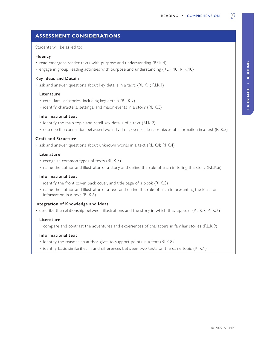# **ASSESSMENT CONSIDERATIONS**

Students will be asked to:

#### **Fluency**

- read emergent-reader texts with purpose and understanding (RF.K.4)
- engage in group reading activities with purpose and understanding (RL.K.10; RI.K.10)

#### **Key Ideas and Details**

• ask and answer questions about key details in a text. (RL.K.1; RI.K.1)

#### **Literature**

- retell familiar stories, including key details (RL.K.2)
- identify characters, settings, and major events in a story (RL.K.3)

#### **Informational text**

- identify the main topic and retell key details of a text (RI.K.2)
- describe the connection between two individuals, events, ideas, or pieces of information in a text (RI.K.3)

#### **Craft and Structure**

• ask and answer questions about unknown words in a text (RL.K.4; RI K.4)

#### **Literature**

- recognize common types of texts (RL.K.5)
- name the author and illustrator of a story and define the role of each in telling the story (RL.K.6)

#### **Informational text**

- identify the front cover, back cover, and title page of a book (RI.K.5)
- name the author and illustrator of a text and define the role of each in presenting the ideas or information in a text (RI.K.6)

#### **Integration of Knowledge and Ideas**

• describe the relationship between illustrations and the story in which they appear (RL.K.7; RI.K.7)

#### **Literature**

• compare and contrast the adventures and experiences of characters in familiar stories (RL.K.9)

#### **Informational text**

- identify the reasons an author gives to support points in a text (RI.K.8)
- identify basic similarities in and differences between two texts on the same topic (RI.K.9)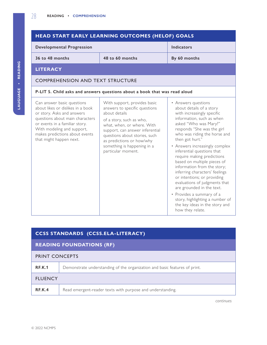| HEAD START EARLY LEARNING OUTCOMES (HELOF) GOALS                                                                                                                                                                                                              |                                                                                                                                                                                                                                                                                                |                                                                                                                                                                                                                                                                                                                                                                                                                                                                                                                                                                                                                                       |  |
|---------------------------------------------------------------------------------------------------------------------------------------------------------------------------------------------------------------------------------------------------------------|------------------------------------------------------------------------------------------------------------------------------------------------------------------------------------------------------------------------------------------------------------------------------------------------|---------------------------------------------------------------------------------------------------------------------------------------------------------------------------------------------------------------------------------------------------------------------------------------------------------------------------------------------------------------------------------------------------------------------------------------------------------------------------------------------------------------------------------------------------------------------------------------------------------------------------------------|--|
| <b>Developmental Progression</b>                                                                                                                                                                                                                              |                                                                                                                                                                                                                                                                                                | <b>Indicators</b>                                                                                                                                                                                                                                                                                                                                                                                                                                                                                                                                                                                                                     |  |
| 36 to 48 months                                                                                                                                                                                                                                               | 48 to 60 months                                                                                                                                                                                                                                                                                |                                                                                                                                                                                                                                                                                                                                                                                                                                                                                                                                                                                                                                       |  |
| <b>LITERACY</b>                                                                                                                                                                                                                                               |                                                                                                                                                                                                                                                                                                |                                                                                                                                                                                                                                                                                                                                                                                                                                                                                                                                                                                                                                       |  |
| <b>COMPREHENSION AND TEXT STRUCTURE</b>                                                                                                                                                                                                                       |                                                                                                                                                                                                                                                                                                |                                                                                                                                                                                                                                                                                                                                                                                                                                                                                                                                                                                                                                       |  |
|                                                                                                                                                                                                                                                               | P-LIT 5. Child asks and answers questions about a book that was read aloud                                                                                                                                                                                                                     |                                                                                                                                                                                                                                                                                                                                                                                                                                                                                                                                                                                                                                       |  |
| Can answer basic questions<br>about likes or dislikes in a book<br>or story. Asks and answers<br>questions about main characters<br>or events in a familiar story.<br>With modeling and support,<br>makes predictions about events<br>that might happen next. | With support, provides basic<br>answers to specific questions<br>about details<br>of a story, such as who,<br>what, when, or where. With<br>support, can answer inferential<br>questions about stories, such<br>as predictions or how/why<br>something is happening in a<br>particular moment. | • Answers questions<br>about details of a story<br>with increasingly specific<br>information, such as when<br>asked "Who was Mary?"<br>responds "She was the girl<br>who was riding the horse and<br>then got hurt."<br>• Answers increasingly complex<br>inferential questions that<br>require making predictions<br>based on multiple pieces of<br>information from the story;<br>inferring characters' feelings<br>or intentions; or providing<br>evaluations of judgments that<br>are grounded in the text.<br>• Provides a summary of a<br>story, highlighting a number of<br>the key ideas in the story and<br>how they relate. |  |

| <b>CCSS STANDARDS (CCSS.ELA-LITERACY)</b> |                                                                            |  |
|-------------------------------------------|----------------------------------------------------------------------------|--|
| <b>READING FOUNDATIONS (RF)</b>           |                                                                            |  |
| <b>PRINT CONCEPTS</b>                     |                                                                            |  |
| <b>RF.K.1</b>                             | Demonstrate understanding of the organization and basic features of print. |  |
| <b>FLUENCY</b>                            |                                                                            |  |
| REK.4                                     | Read emergent-reader texts with purpose and understanding.                 |  |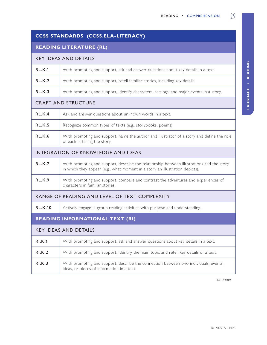|  |  | $\frac{1}{2}$ |
|--|--|---------------|
|  |  |               |
|  |  |               |
|  |  |               |
|  |  |               |
|  |  |               |
|  |  |               |

| CCSS STANDARDS (CCSS.ELA-LITERACY) |
|------------------------------------|

# **READING LITERATURE (RL)**

#### KEY IDEAS AND DETAILS

| <b>RL.K.1</b>                                 | With prompting and support, ask and answer questions about key details in a text.                                                                                         |  |
|-----------------------------------------------|---------------------------------------------------------------------------------------------------------------------------------------------------------------------------|--|
| <b>RL.K.2</b>                                 | With prompting and support, retell familiar stories, including key details.                                                                                               |  |
| RL.K.3                                        | With prompting and support, identify characters, settings, and major events in a story.                                                                                   |  |
|                                               | <b>CRAFT AND STRUCTURE</b>                                                                                                                                                |  |
| <b>RL.K.4</b>                                 | Ask and answer questions about unknown words in a text.                                                                                                                   |  |
| <b>RL.K.5</b>                                 | Recognize common types of texts (e.g., storybooks, poems).                                                                                                                |  |
| <b>RL.K.6</b>                                 | With prompting and support, name the author and illustrator of a story and define the role<br>of each in telling the story.                                               |  |
| <b>INTEGRATION OF KNOWLEDGE AND IDEAS</b>     |                                                                                                                                                                           |  |
| RLK.7                                         | With prompting and support, describe the relationship between illustrations and the story<br>in which they appear (e.g., what moment in a story an illustration depicts). |  |
| <b>RL.K.9</b>                                 | With prompting and support, compare and contrast the adventures and experiences of<br>characters in familiar stories.                                                     |  |
| RANGE OF READING AND LEVEL OF TEXT COMPLEXITY |                                                                                                                                                                           |  |
| <b>RL.K.10</b>                                | Actively engage in group reading activities with purpose and understanding.                                                                                               |  |
| <b>READING INFORMATIONAL TEXT (RI)</b>        |                                                                                                                                                                           |  |
| <b>KEY IDEAS AND DETAILS</b>                  |                                                                                                                                                                           |  |
| <b>RI.K.1</b>                                 | With prompting and support, ask and answer questions about key details in a text.                                                                                         |  |
| <b>RI.K.2</b>                                 | With prompting and support, identify the main topic and retell key details of a text.                                                                                     |  |
| RI.K.3                                        | With prompting and support, describe the connection between two individuals, events,                                                                                      |  |

ideas, or pieces of information in a text.

*continues*

LAUGUAGE . READING **LAUGUAGE • Reading**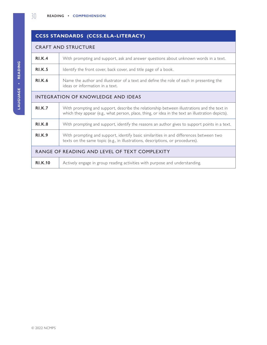# **CCSS STANDARDS (CCSS.ELA-LITERACY)**

#### CRAFT AND STRUCTURE

| RI.K.4                                        | With prompting and support, ask and answer questions about unknown words in a text.                                                                                                              |  |
|-----------------------------------------------|--------------------------------------------------------------------------------------------------------------------------------------------------------------------------------------------------|--|
| <b>RI.K.5</b>                                 | Identify the front cover, back cover, and title page of a book.                                                                                                                                  |  |
| <b>RI.K.6</b>                                 | Name the author and illustrator of a text and define the role of each in presenting the<br>ideas or information in a text.                                                                       |  |
| <b>INTEGRATION OF KNOWLEDGE AND IDEAS</b>     |                                                                                                                                                                                                  |  |
| <b>RI.K.7</b>                                 | With prompting and support, describe the relationship between illustrations and the text in<br>which they appear (e.g., what person, place, thing, or idea in the text an illustration depicts). |  |
| <b>RI.K.8</b>                                 | With prompting and support, identify the reasons an author gives to support points in a text.                                                                                                    |  |
| <b>RI.K.9</b>                                 | With prompting and support, identify basic similarities in and differences between two<br>texts on the same topic (e.g., in illustrations, descriptions, or procedures).                         |  |
| RANGE OF READING AND LEVEL OF TEXT COMPLEXITY |                                                                                                                                                                                                  |  |
| <b>RI.K.10</b>                                | Actively engage in group reading activities with purpose and understanding.                                                                                                                      |  |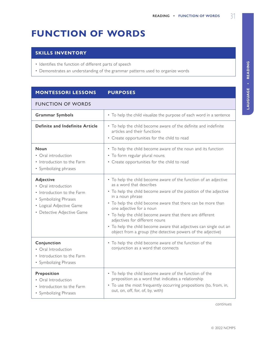# <span id="page-38-0"></span>**FUNCTION OF WORDS**

## **SKILLS INVENTORY**

- Identifies the function of different parts of speech
- Demonstrates an understanding of the grammar patterns used to organize words

# **MONTESSORI LESSONS PURPOSES**

#### FUNCTION OF WORDS

| FUINCTIUN UF WUNDS                                                                                                                                |                                                                                                                                                                                                                                                                                                                                                                                                                                                                                                                       |  |  |
|---------------------------------------------------------------------------------------------------------------------------------------------------|-----------------------------------------------------------------------------------------------------------------------------------------------------------------------------------------------------------------------------------------------------------------------------------------------------------------------------------------------------------------------------------------------------------------------------------------------------------------------------------------------------------------------|--|--|
| <b>Grammar Symbols</b>                                                                                                                            | • To help the child visualize the purpose of each word in a sentence                                                                                                                                                                                                                                                                                                                                                                                                                                                  |  |  |
| Definite and Indefinite Article                                                                                                                   | • To help the child become aware of the definite and indefinite<br>articles and their functions<br>• Create opportunities for the child to read                                                                                                                                                                                                                                                                                                                                                                       |  |  |
| Noun<br>• Oral introduction<br>• Introduction to the Farm<br>• Symbolizing phrases                                                                | • To help the child become aware of the noun and its function<br>• To form regular plural nouns<br>• Create opportunities for the child to read                                                                                                                                                                                                                                                                                                                                                                       |  |  |
| Adjective<br>• Oral introduction<br>• Introduction to the Farm<br>• Symbolizing Phrases<br>• Logical Adjective Game<br>• Detective Adjective Game | • To help the child become aware of the function of an adjective<br>as a word that describes<br>• To help the child become aware of the position of the adjective<br>in a noun phrase<br>• To help the child become aware that there can be more than<br>one adjective for a noun<br>• To help the child become aware that there are different<br>adjectives for different nouns<br>• To help the child become aware that adjectives can single out an<br>object from a group (the detective powers of the adjective) |  |  |
| Conjunction<br>• Oral Introduction<br>• Introduction to the Farm<br>• Symbolizing Phrases                                                         | • To help the child become aware of the function of the<br>conjunction as a word that connects                                                                                                                                                                                                                                                                                                                                                                                                                        |  |  |
| Preposition<br>• Oral Introduction<br>• Introduction to the Farm<br>• Symbolizing Phrases                                                         | • To help the child become aware of the function of the<br>preposition as a word that indicates a relationship<br>• To use the most frequently occurring prepositions (to, from, in,<br>out, on, off, for, of, by, with)                                                                                                                                                                                                                                                                                              |  |  |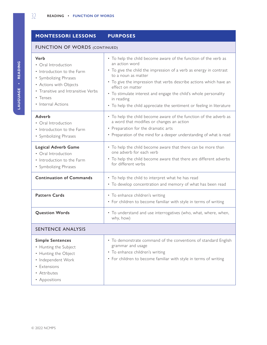| <b>MONTESSORI LESSONS</b>                                                                                                                                                             | <b>PURPOSES</b>                                                                                                                                                                                                                                                                                                                                                                                                                     |  |  |
|---------------------------------------------------------------------------------------------------------------------------------------------------------------------------------------|-------------------------------------------------------------------------------------------------------------------------------------------------------------------------------------------------------------------------------------------------------------------------------------------------------------------------------------------------------------------------------------------------------------------------------------|--|--|
| <b>FUNCTION OF WORDS (CONTINUED)</b>                                                                                                                                                  |                                                                                                                                                                                                                                                                                                                                                                                                                                     |  |  |
| Verb<br>• Oral Introduction<br>• Introduction to the Farm<br>• Symbolizing Phrases<br>• Actions with Objects<br>• Transitive and Intransitive Verbs<br>• Tenses<br>• Internal Actions | • To help the child become aware of the function of the verb as<br>an action word<br>• To give the child the impression of a verb as energy in contrast<br>to a noun as matter<br>• To give the impression that verbs describe actions which have an<br>effect on matter<br>• To stimulate interest and engage the child's whole personality<br>in reading<br>• To help the child appreciate the sentiment or feeling in literature |  |  |
| Adverb<br>• Oral Introduction<br>• Introduction to the Farm<br>• Symbolizing Phrases                                                                                                  | • To help the child become aware of the function of the adverb as<br>a word that modifies or changes an action<br>• Preparation for the dramatic arts<br>• Preparation of the mind for a deeper understanding of what is read                                                                                                                                                                                                       |  |  |
| <b>Logical Adverb Game</b><br>• Oral Introduction<br>• Introduction to the Farm<br>• Symbolizing Phrases                                                                              | • To help the child become aware that there can be more than<br>one adverb for each verb<br>• To help the child become aware that there are different adverbs<br>for different verbs                                                                                                                                                                                                                                                |  |  |
| <b>Continuation of Commands</b>                                                                                                                                                       | • To help the child to interpret what he has read<br>• To develop concentration and memory of what has been read                                                                                                                                                                                                                                                                                                                    |  |  |
| <b>Pattern Cards</b>                                                                                                                                                                  | • To enhance children's writing<br>• For children to become familiar with style in terms of writing                                                                                                                                                                                                                                                                                                                                 |  |  |
| <b>Question Words</b>                                                                                                                                                                 | • To understand and use interrogatives (who, what, where, when,<br>why, how)                                                                                                                                                                                                                                                                                                                                                        |  |  |
| <b>SENTENCE ANALYSIS</b>                                                                                                                                                              |                                                                                                                                                                                                                                                                                                                                                                                                                                     |  |  |
| <b>Simple Sentences</b><br>• Hunting the Subject<br>• Hunting the Object<br>• Independent Work<br>• Extensions<br>• Attributes<br>• Appositions                                       | • To demonstrate command of the conventions of standard English<br>grammar and usage<br>• To enhance children's writing<br>• For children to become familiar with style in terms of writing                                                                                                                                                                                                                                         |  |  |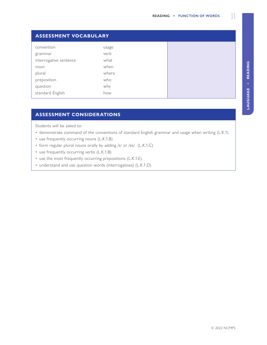| <b>ASSESSMENT VOCABULARY</b> |       |  |  |
|------------------------------|-------|--|--|
| convention                   | usage |  |  |
| grammar                      | verb  |  |  |
| interrogative sentence       | what  |  |  |
| noun                         | when  |  |  |
| plural                       | where |  |  |
| preposition                  | who   |  |  |
| question                     | why   |  |  |
| standard English             | how   |  |  |

## **ASSESSMENT CONSIDERATIONS**

Students will be asked to:

- demonstrate command of the conventions of standard English grammar and usage when writing (L.K.1)
- use frequently occurring nouns (L.K.1.B)
- form regular plural nouns orally by adding /s/ or /es/ (L.K.1.C)
- use frequently occurring verbs (L.K.1.B)
- use the most frequently occurring prepositions (L.K.1.E)
- understand and use question words (interrogatives) (L.K.1.D)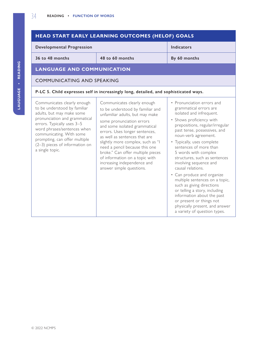#### **HEAD START EARLY LEARNING OUTCOMES (HELOF) GOALS Developmental Progression Indicators 36 to 48 months 48 to 60 months By 60 months LANGUAGE AND COMMUNICATION** COMMUNICATING AND SPEAKING **P-LC 5. Child expresses self in increasingly long, detailed, and sophisticated ways.** Communicates clearly enough to be understood by familiar adults, but may make some pronunciation and grammatical errors. Typically uses 3–5 word phrases/sentences when communicating. With some prompting, can offer multiple (2–3) pieces of information on a single topic. Communicates clearly enough to be understood by familiar and unfamiliar adults, but may make some pronunciation errors and some isolated grammatical errors. Uses longer sentences, as well as sentences that are slightly more complex, such as "I need a pencil because this one broke." Can offer multiple pieces of information on a topic with increasing independence and answer simple questions. • Pronunciation errors and grammatical errors are isolated and infrequent. • Shows proficiency with prepositions, regular/irregular past tense, possessives, and noun-verb agreement. • Typically, uses complete sentences of more than 5 words with complex structures, such as sentences involving sequence and causal relations. • Can produce and organize multiple sentences on a topic, such as giving directions or telling a story, including information about the past or present or things not physically present, and answer a variety of question types.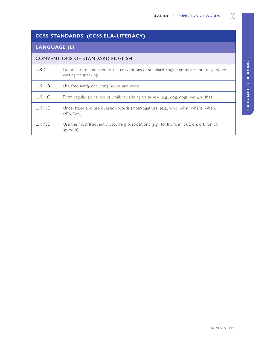# **CCSS STANDARDS (CCSS.ELA-LITERACY)**

# **LANGUAGE (L)**

### CONVENTIONS OF STANDARD ENGLISH

| L.K.1   | Demonstrate command of the conventions of standard English grammar and usage when<br>writing or speaking. |
|---------|-----------------------------------------------------------------------------------------------------------|
| L.K.1.B | Use frequently occurring nouns and verbs.                                                                 |
| L.K.1.C | Form regular plural nouns orally by adding /s/ or /es/ (e.g., dog, dogs; wish, wishes).                   |
| L.K.1.D | Understand and use question words (interrogatives) (e.g., who, what, where, when,<br>why, how).           |
| L.K.1.E | Use the most frequently occurring prepositions (e.g., to, from, in, out, on, off, for, of,<br>by, with).  |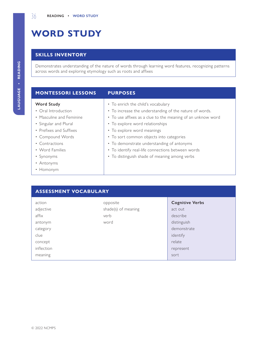# <span id="page-43-0"></span>**WORD STUDY**

# **SKILLS INVENTORY**

Demonstrates understanding of the nature of words through learning word features, recognizing patterns across words and exploring etymology such as roots and affixes

#### **MONTESSORI LESSONS PURPOSES**

#### **Word Study**

- Oral Introduction
- Masculine and Feminine
- Singular and Plural
- Prefixes and Suffixes
- Compound Words
- Contractions
- Word Families
- Synonyms
- Antonyms
- Homonym
- To enrich the child's vocabulary
- To increase the understanding of the nature of words.
- To use affixes as a clue to the meaning of an unknow word
- To explore word relationships
- To explore word meanings
- To sort common objects into categories
- To demonstrate understanding of antonyms
- To identify real-life connections between words
- To distinguish shade of meaning among verbs

#### **ASSESSMENT VOCABULARY**

| action     | opposite            | <b>Cognitive Verbs</b> |
|------------|---------------------|------------------------|
| adjective  | shade(s) of meaning | act out                |
| affix      | verb                | describe               |
| antonym    | word                | distinguish            |
| category   |                     | demonstrate            |
| clue       |                     | identify               |
| concept    |                     | relate                 |
| inflection |                     | represent              |
| meaning    |                     | sort                   |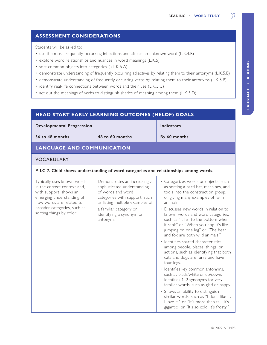## **ASSESSMENT CONSIDERATIONS**

Students will be asked to:

- use the most frequently occurring inflections and affixes an unknown word (L.K.4.B)
- explore word relationships and nuances in word meanings (L.K.5)
- sort common objects into categories ( (L.K.5.A)
- demonstrate understanding of frequently occurring adjectives by relating them to their antonyms (L.K.5.B)
- demonstrate understanding of frequently occurring verbs by relating them to their antonyms (L.K.5.B)
- identify real-life connections between words and their use (L.K.5.C)
- act out the meanings of verbs to distinguish shades of meaning among them (L.K.5.D)

## **HEAD START EARLY LEARNING OUTCOMES (HELOF) GOALS**

|                                                    | Developmental Progression |  |
|----------------------------------------------------|---------------------------|--|
| 48 to 60 months<br>36 to 48 months<br>By 60 months |                           |  |

# **LANGUAGE AND COMMUNICATION**

#### VOCABULARY

| <b>VOCABULARY</b>                                                                                                                                                                                       |                                                                                                                                                      |                                                                                                                                                                                                                               |  |  |
|---------------------------------------------------------------------------------------------------------------------------------------------------------------------------------------------------------|------------------------------------------------------------------------------------------------------------------------------------------------------|-------------------------------------------------------------------------------------------------------------------------------------------------------------------------------------------------------------------------------|--|--|
| P-LC 7. Child shows understanding of word categories and relationships among words.                                                                                                                     |                                                                                                                                                      |                                                                                                                                                                                                                               |  |  |
| Typically uses known words<br>in the correct context and,<br>with support, shows an<br>emerging understanding of<br>how words are related to<br>broader categories, such as<br>sorting things by color. | Demonstrates an increasingly<br>sophisticated understanding<br>of words and word<br>categories with support, such<br>as listing multiple examples of | • Categorizes words or objects, such<br>as sorting a hard hat, machines, and<br>tools into the construction group,<br>or giving many examples of farm<br>animals.                                                             |  |  |
|                                                                                                                                                                                                         | a familiar category or<br>identifying a synonym or<br>antonym.                                                                                       | • Discusses new words in relation to<br>known words and word categories,<br>such as "It fell to the bottom when<br>it sank" or "When you hop it's like<br>jumping on one leg" or "The bear<br>and fox are both wild animals." |  |  |
|                                                                                                                                                                                                         |                                                                                                                                                      | • Identifies shared characteristics<br>among people, places, things, or<br>actions, such as identifying that both<br>cats and dogs are furry and have<br>four legs.                                                           |  |  |
|                                                                                                                                                                                                         |                                                                                                                                                      | · Identifies key common antonyms,<br>such as black/white or up/down.<br>Identifies 1-2 synonyms for very<br>familiar words, such as glad or happy.<br>• Shows an ability to distinguish                                       |  |  |
|                                                                                                                                                                                                         |                                                                                                                                                      | similar words, such as "I don't like it,<br>I love it!" or "It's more than tall, it's<br>gigantic" or "It's so cold, it's frosty."                                                                                            |  |  |

LAUGUAGE - READING **LAUGUAGE • Reading**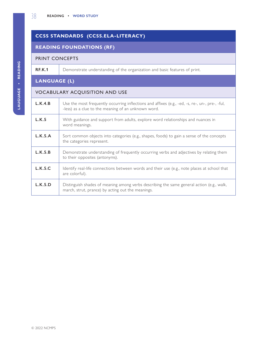# **CCSS STANDARDS (CCSS.ELA-LITERACY)**

# **READING FOUNDATIONS (RF)**

## PRINT CONCEPTS

**RF.K.1** Demonstrate understanding of the organization and basic features of print.

# **LANGUAGE (L)**

# VOCABULARY ACQUISITION AND USE

| L.K.4.B | Use the most frequently occurring inflections and affixes (e.g., -ed, -s, re-, un-, pre-, -ful,<br>-less) as a clue to the meaning of an unknown word. |
|---------|--------------------------------------------------------------------------------------------------------------------------------------------------------|
| L.K.5   | With guidance and support from adults, explore word relationships and nuances in<br>word meanings.                                                     |
| L.K.5.A | Sort common objects into categories (e.g., shapes, foods) to gain a sense of the concepts<br>the categories represent.                                 |
| L.K.5.B | Demonstrate understanding of frequently occurring verbs and adjectives by relating them<br>to their opposites (antonyms).                              |
| L.K.5.C | Identify real-life connections between words and their use (e.g., note places at school that<br>are colorful).                                         |
| L.K.5.D | Distinguish shades of meaning among verbs describing the same general action (e.g., walk,<br>march, strut, prance) by acting out the meanings.         |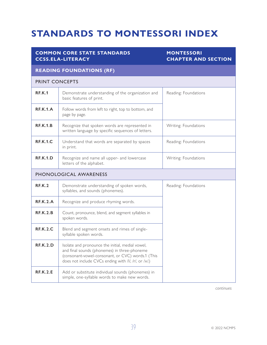# <span id="page-46-0"></span>**STANDARDS TO MONTESSORI INDEX**

## **COMMON CORE STATE STANDARDS CCSS.ELA-LITERACY**

# **MONTESSORI CHAPTER AND SECTION**

### **READING FOUNDATIONS (RF)**

#### PRINT CONCEPTS

| <b>RF.K.1</b>          | Demonstrate understanding of the organization and<br>basic features of print.                                                                                                                                 | Reading: Foundations |
|------------------------|---------------------------------------------------------------------------------------------------------------------------------------------------------------------------------------------------------------|----------------------|
| <b>RF.K.1.A</b>        | Follow words from left to right, top to bottom, and<br>page by page.                                                                                                                                          |                      |
| <b>RF.K.1.B</b>        | Recognize that spoken words are represented in<br>written language by specific sequences of letters.                                                                                                          | Writing: Foundations |
| <b>RF.K.1.C</b>        | Understand that words are separated by spaces<br>in print.                                                                                                                                                    | Reading: Foundations |
| REK.1.D                | Recognize and name all upper- and lowercase<br>letters of the alphabet.                                                                                                                                       | Writing: Foundations |
| PHONOLOGICAL AWARENESS |                                                                                                                                                                                                               |                      |
| RE.K.2                 | Demonstrate understanding of spoken words,<br>syllables, and sounds (phonemes).                                                                                                                               | Reading: Foundations |
| <b>RF.K.2.A</b>        | Recognize and produce rhyming words.                                                                                                                                                                          |                      |
| RE.K.2.B               | Count, pronounce, blend, and segment syllables in<br>spoken words.                                                                                                                                            |                      |
| <b>RF.K.2.C</b>        | Blend and segment onsets and rimes of single-<br>syllable spoken words.                                                                                                                                       |                      |
| <b>RF.K.2.D</b>        | Isolate and pronounce the initial, medial vowel,<br>and final sounds (phonemes) in three-phoneme<br>(consonant-vowel-consonant, or CVC) words.1 (This<br>does not include CVCs ending with /l/, /r/, or /x/.) |                      |
| <b>RF.K.2.E</b>        | Add or substitute individual sounds (phonemes) in<br>simple, one-syllable words to make new words.                                                                                                            |                      |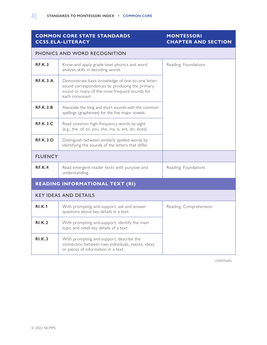### **MONTESSORI CHAPTER AND SECTION**

| PHONICS AND WORD RECOGNITION           |                                                                                                                                                                         |                      |  |  |  |  |
|----------------------------------------|-------------------------------------------------------------------------------------------------------------------------------------------------------------------------|----------------------|--|--|--|--|
| <b>RF.K.3</b>                          | Know and apply grade-level phonics and word<br>Reading: Foundations<br>analysis skills in decoding words.                                                               |                      |  |  |  |  |
| <b>RF.K.3.A</b>                        | Demonstrate basic knowledge of one-to-one letter-<br>sound correspondences by producing the primary<br>sound or many of the most frequent sounds for<br>each consonant. |                      |  |  |  |  |
| <b>RF.K.3.B</b>                        | Associate the long and short sounds with the common<br>spellings (graphemes) for the five major vowels.                                                                 |                      |  |  |  |  |
| <b>RF.K.3.C</b>                        | Read common high-frequency words by sight<br>(e.g., the, of, to, you, she, my, is, are, do, does).                                                                      |                      |  |  |  |  |
| <b>RF.K.3.D</b>                        | Distinguish between similarly spelled words by<br>identifying the sounds of the letters that differ.                                                                    |                      |  |  |  |  |
| <b>FLUENCY</b>                         |                                                                                                                                                                         |                      |  |  |  |  |
| <b>RF.K.4</b>                          | Read emergent-reader texts with purpose and<br>understanding.                                                                                                           | Reading: Foundations |  |  |  |  |
| <b>READING INFORMATIONAL TEXT (RI)</b> |                                                                                                                                                                         |                      |  |  |  |  |
| <b>KEY IDEAS AND DETAILS</b>           |                                                                                                                                                                         |                      |  |  |  |  |
| <b>RI.K.1</b>                          | With prompting and support, ask and answer<br>Reading: Comprehension<br>questions about key details in a text.                                                          |                      |  |  |  |  |
| RI.K.2                                 | With prompting and support, identify the main<br>topic and retell key details of a text.                                                                                |                      |  |  |  |  |
| <b>RI.K.3</b>                          | With prompting and support, describe the<br>connection between two individuals, events, ideas,<br>or pieces of information in a text.                                   |                      |  |  |  |  |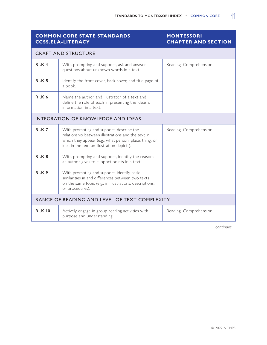# **MONTESSORI CHAPTER AND SECTION**

| <b>CRAFT AND STRUCTURE</b>                    |                                                                                                                                                                                                        |                        |  |  |  |
|-----------------------------------------------|--------------------------------------------------------------------------------------------------------------------------------------------------------------------------------------------------------|------------------------|--|--|--|
| RI.K.4                                        | With prompting and support, ask and answer<br>Reading: Comprehension<br>questions about unknown words in a text.                                                                                       |                        |  |  |  |
| <b>RI.K.5</b>                                 | Identify the front cover, back cover, and title page of<br>a book.                                                                                                                                     |                        |  |  |  |
| <b>RI.K.6</b>                                 | Name the author and illustrator of a text and<br>define the role of each in presenting the ideas or<br>information in a text.                                                                          |                        |  |  |  |
|                                               | <b>INTEGRATION OF KNOWLEDGE AND IDEAS</b>                                                                                                                                                              |                        |  |  |  |
| RI.K.7                                        | With prompting and support, describe the<br>relationship between illustrations and the text in<br>which they appear (e.g., what person, place, thing, or<br>idea in the text an illustration depicts). | Reading: Comprehension |  |  |  |
| <b>RI.K.8</b>                                 | With prompting and support, identify the reasons<br>an author gives to support points in a text.                                                                                                       |                        |  |  |  |
| <b>RI.K.9</b>                                 | With prompting and support, identify basic<br>similarities in and differences between two texts<br>on the same topic (e.g., in illustrations, descriptions,<br>or procedures).                         |                        |  |  |  |
| RANGE OF READING AND LEVEL OF TEXT COMPLEXITY |                                                                                                                                                                                                        |                        |  |  |  |
| <b>RI.K.10</b>                                | Actively engage in group reading activities with<br>purpose and understanding.                                                                                                                         | Reading: Comprehension |  |  |  |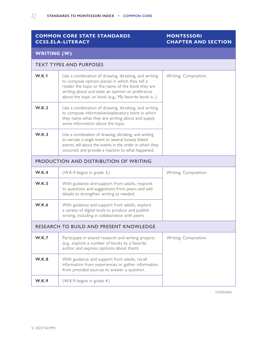## **MONTESSORI CHAPTER AND SECTION**

| WRITING (W) |  |
|-------------|--|
|             |  |
|             |  |

| <b>TEXT TYPES AND PURPOSES</b>          |                                                                                                                                                                                                                                                                                                 |  |  |  |  |
|-----------------------------------------|-------------------------------------------------------------------------------------------------------------------------------------------------------------------------------------------------------------------------------------------------------------------------------------------------|--|--|--|--|
| W.K.1                                   | Use a combination of drawing, dictating, and writing<br>Writing: Composition<br>to compose opinion pieces in which they tell a<br>reader the topic or the name of the book they are<br>writing about and state an opinion or preference<br>about the topic or book (e.g., My favorite book is). |  |  |  |  |
| <b>W.K.2</b>                            | Use a combination of drawing, dictating, and writing<br>to compose informative/explanatory texts in which<br>they name what they are writing about and supply<br>some information about the topic.                                                                                              |  |  |  |  |
| <b>W.K.3</b>                            | Use a combination of drawing, dictating, and writing<br>to narrate a single event or several loosely linked<br>events, tell about the events in the order in which they<br>occurred, and provide a reaction to what happened.                                                                   |  |  |  |  |
|                                         | PRODUCTION AND DISTRIBUTION OF WRITING                                                                                                                                                                                                                                                          |  |  |  |  |
| W.K.4                                   | (W.K.4 begins in grade 3.)<br>Writing: Composition                                                                                                                                                                                                                                              |  |  |  |  |
| W.K.5                                   | With guidance and support from adults, respond<br>to questions and suggestions from peers and add<br>details to strengthen writing as needed.                                                                                                                                                   |  |  |  |  |
| <b>W.K.6</b>                            | With guidance and support from adults, explore<br>a variety of digital tools to produce and publish<br>writing, including in collaboration with peers.                                                                                                                                          |  |  |  |  |
| RESEARCH TO BUILD AND PRESENT KNOWLEDGE |                                                                                                                                                                                                                                                                                                 |  |  |  |  |
| W.K.7                                   | Writing: Composition<br>Participate in shared research and writing projects<br>(e.g., explore a number of books by a favorite<br>author and express opinions about them).                                                                                                                       |  |  |  |  |
| W.K.8                                   | With guidance and support from adults, recall<br>information from experiences or gather information<br>from provided sources to answer a question.                                                                                                                                              |  |  |  |  |
| W.K.9                                   | (W.K.9 begins in grade 4.)                                                                                                                                                                                                                                                                      |  |  |  |  |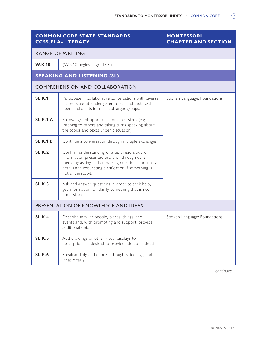# **MONTESSORI CHAPTER AND SECTION**

| <b>RANGE OF WRITING</b>             |                                                                                                                                                                                                                                |  |  |  |  |
|-------------------------------------|--------------------------------------------------------------------------------------------------------------------------------------------------------------------------------------------------------------------------------|--|--|--|--|
| <b>W.K.10</b>                       | (W.K.10 begins in grade 3.)                                                                                                                                                                                                    |  |  |  |  |
|                                     | <b>SPEAKING AND LISTENING (SL)</b>                                                                                                                                                                                             |  |  |  |  |
|                                     | <b>COMPREHENSION AND COLLABORATION</b>                                                                                                                                                                                         |  |  |  |  |
| <b>SL.K.1</b>                       | Participate in collaborative conversations with diverse<br>Spoken Language: Foundations<br>partners about kindergarten topics and texts with<br>peers and adults in small and larger groups.                                   |  |  |  |  |
| <b>SL.K.1.A</b>                     | Follow agreed-upon rules for discussions (e.g.,<br>listening to others and taking turns speaking about<br>the topics and texts under discussion).                                                                              |  |  |  |  |
| SL.K.1.B                            | Continue a conversation through multiple exchanges.                                                                                                                                                                            |  |  |  |  |
| SL.K.2                              | Confirm understanding of a text read aloud or<br>information presented orally or through other<br>media by asking and answering questions about key<br>details and requesting clarification if something is<br>not understood. |  |  |  |  |
| SL.K.3                              | Ask and answer questions in order to seek help,<br>get information, or clarify something that is not<br>understood.                                                                                                            |  |  |  |  |
| PRESENTATION OF KNOWLEDGE AND IDEAS |                                                                                                                                                                                                                                |  |  |  |  |
| <b>SL.K.4</b>                       | Spoken Language: Foundations<br>Describe familiar people, places, things, and<br>events and, with prompting and support, provide<br>additional detail.                                                                         |  |  |  |  |
| <b>SL.K.5</b>                       | Add drawings or other visual displays to<br>descriptions as desired to provide additional detail.                                                                                                                              |  |  |  |  |
| <b>SL.K.6</b>                       | Speak audibly and express thoughts, feelings, and<br>ideas clearly.                                                                                                                                                            |  |  |  |  |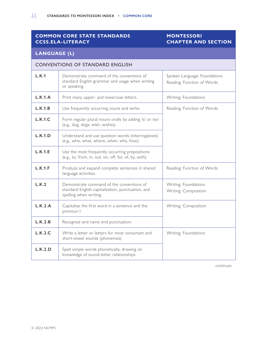### **MONTESSORI CHAPTER AND SECTION**

#### **LANGUAGE (L)**

# CONVENTIONS OF STANDARD ENGLISH **L.K.1** Demonstrate command of the conventions of standard English grammar and usage when writing or speaking. Spoken Language: Foundations Reading: Function of Words **L.K.1.A** Print many upper- and lowercase letters. Writing: Foundations **L.K.1.B** Use frequently occurring nouns and verbs. Reading: Function of Words **L.K.1.C** Form regular plural nouns orally by adding /s/ or /es/ (e.g., dog, dogs; wish, wishes). **L.K.1.D** Understand and use question words (interrogatives) (e.g., who, what, where, when, why, how). **L.K.1.E** Use the most frequently occurring prepositions (e.g., to, from, in, out, on, off, for, of, by, with). **L.K.1.F** Produce and expand complete sentences in shared language activities. Reading: Function of Words **L.K.2** Demonstrate command of the conventions of standard English capitalization, punctuation, and spelling when writing. Writing: Foundations Writing: Composition **L.K.2.A** Capitalize the first word in a sentence and the pronoun I. Writing: Composition **L.K.2.B** Recognize and name end punctuation. **L.K.2.C** Write a letter or letters for most consonant and short-vowel sounds (phonemes). Writing: Foundations **L.K.2.D** Spell simple words phonetically, drawing on knowledge of sound-letter relationships.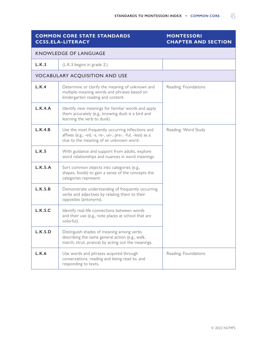### **MONTESSORI CHAPTER AND SECTION**

| <b>KNOWLEDGE OF LANGUAGE</b> |                                                                                                                                                                                  |                      |  |  |  |
|------------------------------|----------------------------------------------------------------------------------------------------------------------------------------------------------------------------------|----------------------|--|--|--|
| L.K.3                        | (L.K.3 begins in grade 2.)                                                                                                                                                       |                      |  |  |  |
|                              | <b>VOCABULARY ACQUISITION AND USE</b>                                                                                                                                            |                      |  |  |  |
| L.K.4                        | Determine or clarify the meaning of unknown and<br>Reading: Foundations<br>multiple-meaning words and phrases based on<br>kindergarten reading and content.                      |                      |  |  |  |
| L.K.4.A                      | Identify new meanings for familiar words and apply<br>them accurately (e.g., knowing duck is a bird and<br>learning the verb to duck).                                           |                      |  |  |  |
| L.K.4.B                      | Use the most frequently occurring inflections and<br>Reading: Word Study<br>affixes (e.g., -ed, -s, re-, un-, pre-, -ful, -less) as a<br>clue to the meaning of an unknown word. |                      |  |  |  |
| L.K.5                        | With guidance and support from adults, explore<br>word relationships and nuances in word meanings.                                                                               |                      |  |  |  |
| L.K.5.A                      | Sort common objects into categories (e.g.,<br>shapes, foods) to gain a sense of the concepts the<br>categories represent.                                                        |                      |  |  |  |
| L.K.5.B                      | Demonstrate understanding of frequently occurring<br>verbs and adjectives by relating them to their<br>opposites (antonyms).                                                     |                      |  |  |  |
| L.K.5.C                      | Identify real-life connections between words<br>and their use (e.g., note places at school that are<br>colorful).                                                                |                      |  |  |  |
| L.K.5.D                      | Distinguish shades of meaning among verbs<br>describing the same general action (e.g., walk,<br>march, strut, prance) by acting out the meanings.                                |                      |  |  |  |
| L.K.6                        | Use words and phrases acquired through<br>conversations, reading and being read to, and<br>responding to texts.                                                                  | Reading: Foundations |  |  |  |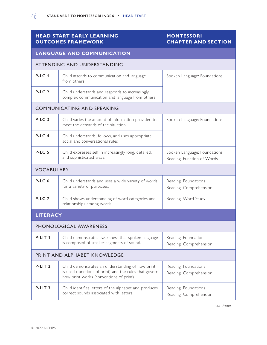# **HEAD START EARLY LEARNING OUTCOMES FRAMEWORK**

### **MONTESSORI CHAPTER AND SECTION**

| <b>LANGUAGE AND COMMUNICATION</b> |                                                                                                                                                                                                         |                                                            |  |  |
|-----------------------------------|---------------------------------------------------------------------------------------------------------------------------------------------------------------------------------------------------------|------------------------------------------------------------|--|--|
| ATTENDING AND UNDERSTANDING       |                                                                                                                                                                                                         |                                                            |  |  |
| <b>P-LC1</b>                      | Child attends to communication and language<br>from others                                                                                                                                              | Spoken Language: Foundations                               |  |  |
| $P-LC2$                           | Child understands and responds to increasingly<br>complex communication and language from others                                                                                                        |                                                            |  |  |
|                                   | <b>COMMUNICATING AND SPEAKING</b>                                                                                                                                                                       |                                                            |  |  |
| $P-LC3$                           | Child varies the amount of information provided to<br>meet the demands of the situation                                                                                                                 | Spoken Language: Foundations                               |  |  |
| $P-LC4$                           | Child understands, follows, and uses appropriate<br>social and conversational rules                                                                                                                     |                                                            |  |  |
| <b>P-LC 5</b>                     | Child expresses self in increasingly long, detailed,<br>and sophisticated ways.                                                                                                                         | Spoken Language: Foundations<br>Reading: Function of Words |  |  |
| <b>VOCABULARY</b>                 |                                                                                                                                                                                                         |                                                            |  |  |
| P-LC <sub>6</sub>                 | Child understands and uses a wide variety of words<br>for a variety of purposes.                                                                                                                        | Reading: Foundations<br>Reading: Comprehension             |  |  |
| P-LC <sub>7</sub>                 | Child shows understanding of word categories and<br>relationships among words.                                                                                                                          | Reading: Word Study                                        |  |  |
| <b>LITERACY</b>                   |                                                                                                                                                                                                         |                                                            |  |  |
| PHONOLOGICAL AWARENESS            |                                                                                                                                                                                                         |                                                            |  |  |
| P-LIT <sub>1</sub>                | Child demonstrates awareness that spoken language<br>is composed of smaller segments of sound.                                                                                                          | Reading: Foundations<br>Reading: Comprehension             |  |  |
| PRINT AND ALPHABET KNOWLEDGE      |                                                                                                                                                                                                         |                                                            |  |  |
| P-LIT <sub>2</sub>                | Child demonstrates an understanding of how print<br>Reading: Foundations<br>is used (functions of print) and the rules that govern<br>Reading: Comprehension<br>how print works (conventions of print). |                                                            |  |  |
| P-LIT <sub>3</sub>                | Child identifies letters of the alphabet and produces<br>correct sounds associated with letters.                                                                                                        | Reading: Foundations<br>Reading: Comprehension             |  |  |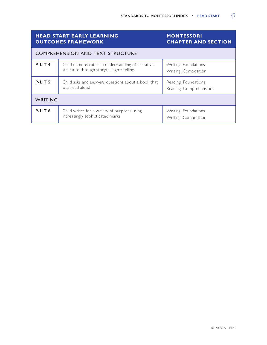|                    | <b>HEAD START EARLY LEARNING</b><br><b>OUTCOMES FRAMEWORK</b>                                  | <b>MONTESSORI</b><br><b>CHAPTER AND SECTION</b> |  |  |
|--------------------|------------------------------------------------------------------------------------------------|-------------------------------------------------|--|--|
|                    | <b>COMPREHENSION AND TEXT STRUCTURE</b>                                                        |                                                 |  |  |
| P-LIT <sub>4</sub> | Child demonstrates an understanding of narrative<br>structure through storytelling/re-telling. | Writing: Foundations<br>Writing: Composition    |  |  |
| P-LIT <sub>5</sub> | Child asks and answers questions about a book that<br>was read aloud                           | Reading: Foundations<br>Reading: Comprehension  |  |  |
| WRITING            |                                                                                                |                                                 |  |  |
| P-LIT <sub>6</sub> | Child writes for a variety of purposes using<br>increasingly sophisticated marks.              | Writing: Foundations<br>Writing: Composition    |  |  |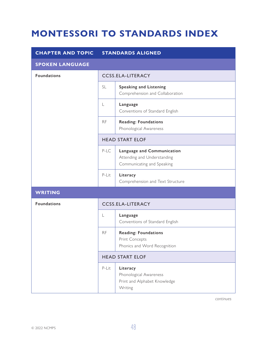# <span id="page-55-0"></span>**MONTESSORI TO STANDARDS INDEX**

| <b>CHAPTER AND TOPIC</b> |                          | <b>STANDARDS ALIGNED</b>                                                                |  |
|--------------------------|--------------------------|-----------------------------------------------------------------------------------------|--|
| <b>SPOKEN LANGUAGE</b>   |                          |                                                                                         |  |
| <b>Foundations</b>       | <b>CCSS.ELA-LITERACY</b> |                                                                                         |  |
|                          | <b>SL</b>                | <b>Speaking and Listening</b><br>Comprehension and Collaboration                        |  |
|                          | $\mathsf L$              | Language<br>Conventions of Standard English                                             |  |
|                          | <b>RF</b>                | <b>Reading: Foundations</b><br>Phonological Awareness                                   |  |
|                          | <b>HEAD START ELOF</b>   |                                                                                         |  |
|                          | P-LC                     | Language and Communication<br>Attending and Understanding<br>Communicating and Speaking |  |
|                          | P-Lit                    | Literacy<br>Comprehension and Text Structure                                            |  |
| <b>WRITING</b>           |                          |                                                                                         |  |
| <b>Foundations</b>       |                          | <b>CCSS.ELA-LITERACY</b>                                                                |  |
|                          | $\lfloor$                | Language<br>Conventions of Standard English                                             |  |
|                          | <b>RF</b>                | <b>Reading: Foundations</b><br>Print Concepts<br>Phonics and Word Recognition           |  |
|                          |                          | <b>HEAD START ELOF</b>                                                                  |  |
|                          | P-Lit                    | Literacy<br>Phonological Awareness<br>Print and Alphabet Knowledge<br>Writing           |  |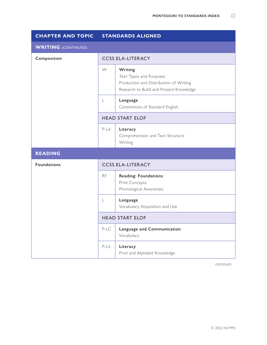| <b>CHAPTER AND TOPIC</b>   | <b>STANDARDS ALIGNED</b> |                                                                                                                         |
|----------------------------|--------------------------|-------------------------------------------------------------------------------------------------------------------------|
| <b>WRITING</b> (CONTINUED) |                          |                                                                                                                         |
| Composition                |                          | <b>CCSS.ELA-LITERACY</b>                                                                                                |
|                            | W                        | Writing<br>Text Types and Purposes<br>Production and Distribution of Writing<br>Research to Build and Present Knowledge |
|                            | L                        | Language<br>Conventions of Standard English                                                                             |
|                            | <b>HEAD START ELOF</b>   |                                                                                                                         |
|                            | P-Lit                    | Literacy<br>Comprehension and Text Structure<br>Writing                                                                 |
| <b>READING</b>             |                          |                                                                                                                         |
| <b>Foundations</b>         |                          | <b>CCSS.ELA-LITERACY</b>                                                                                                |
|                            | <b>RF</b>                | <b>Reading: Foundations</b><br>Print Concepts<br>Phonological Awareness                                                 |
|                            | L                        | Language<br>Vocabulary Acquisition and Use                                                                              |
|                            |                          | <b>HEAD START ELOF</b>                                                                                                  |
|                            | $P-LC$                   | Language and Communication<br>Vocabulary                                                                                |
|                            | P-Lit                    | Literacy<br>Print and Alphabet Knowledge                                                                                |